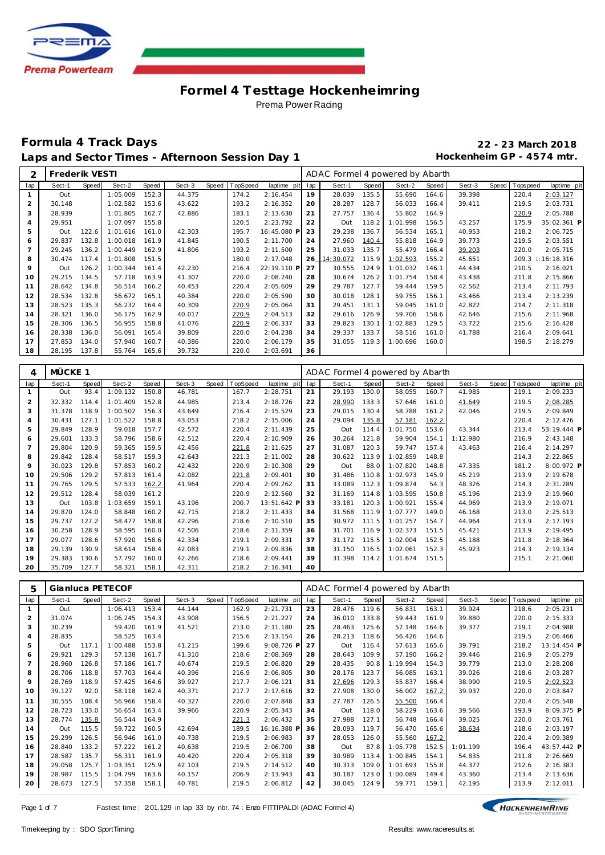

## **Formula 4 Track Days 22 - 23 March 2018** Laps and Sector Times - Afternoon Session Day 1 **Hockenheim GP** - 4574 mtr.

| 2              | Frederik VESTI   |                |                  |                |                  |       |                |                      |          | ADAC Formel 4 powered by Abarth |                |                      |                |          |       |                |                      |
|----------------|------------------|----------------|------------------|----------------|------------------|-------|----------------|----------------------|----------|---------------------------------|----------------|----------------------|----------------|----------|-------|----------------|----------------------|
| lap            | Sect-1           | Speed          | Sect-2           | Speed          | Sect-3           | Speed | TopSpeed       | laptime pit          | lap      | Sect-1                          | Speed          | Sect-2               | Speed          | Sect-3   | Speed | T ops peed     | laptime pit          |
| $\mathbf{1}$   | Out              |                | 1:05.009         | 152.3          | 44.375           |       | 174.2          | 2:16.454             | 19       | 28.039                          | 135.5          | 55.690               | 164.6          | 39.398   |       | 220.4          | 2:03.127             |
| $\overline{c}$ | 30.148           |                | 1:02.582         | 153.6          | 43.622           |       | 193.2          | 2:16.352             | 20       | 28.287                          | 128.7          | 56.033               | 166.4          | 39.411   |       | 219.5          | 2:03.731             |
| 3              | 28.939           |                | 1:01.805         | 162.7          | 42.886           |       | 183.1          | 2:13.630             | 21       | 27.757                          | 136.4          | 55.802               | 164.9          |          |       | 220.9          | 2:05.788             |
| $\overline{4}$ | 29.951           |                | 1:07.097         | 155.8          |                  |       | 120.5          | 2:23.792             | 22       | Out                             | 118.2          | 1:01.998             | 156.5          | 43.257   |       | 175.9          | 35:02.361 P          |
| 5              | Out              | 122.6          | 1:01.616         | 161.0          | 42.303           |       | 195.7          | 16:45.080 F          | 23       | 29.238                          | 136.7          | 56.534               | 165.1          | 40.953   |       | 218.2          | 2:06.725             |
| 6              | 29.837           | 132.8          | 1:00.018         | 161.9          | 41.845           |       | 190.5          | 2:11.700             | 24       | 27.960                          | 140.4          | 55.818               | 164.9          | 39.773   |       | 219.5          | 2:03.551             |
| $\overline{7}$ | 29.245           | 136.2          | 1:00.449         | 162.9          | 41.806           |       | 193.2          | 2:11.500             | 25       | 31.033                          | 135.7          | 55.479               | 166.4          | 39.203   |       | 220.0          | 2:05.715             |
| 8              | 30.474           | 117.4          | 1:01.808         | 151.5          |                  |       | 180.0          | 2:17.048             | 26       | 14:30.072                       | 115.9          | 1:02.593             | 155.2          | 45.651   |       |                | 209.3 1:16:18.316    |
| 9              | Out              | 126.2          | 1:00.344         | 161.4          | 42.230           |       | 216.4          | 22:19.110 P          | 27       | 30.555                          | 124.9          | 1:01.032             | 146.1          | 44.434   |       | 210.5          | 2:16.021             |
| 10             | 29.215           | 134.5          | 57.718           | 163.9          | 41.307           |       | 220.0          | 2:08.240             | 28       | 30.674                          | 126.2          | 1:01.754             | 158.4          | 43.438   |       | 211.8          | 2:15.866             |
| 11             | 28.642           | 134.8          | 56.514           | 166.2          | 40.453           |       | 220.4          | 2:05.609             | 29       | 29.787                          | 127.7          | 59.444               | 159.5          | 42.562   |       | 213.4          | 2:11.793             |
| 12             | 28.534           | 132.8          | 56.672           | 165.1          | 40.384           |       | 220.0          | 2:05.590             | 30       | 30.018                          | 128.1          | 59.755               | 156.1          | 43.466   |       | 213.4          | 2:13.239             |
| 13             | 28.523           | 135.3          | 56.232           | 164.4          | 40.309           |       | 220.9          | 2:05.064             | 31       | 29.451                          | 131.1          | 59.045               | 161.0          | 42.822   |       | 214.7          | 2:11.318             |
| 14             | 28.321           | 136.0          | 56.175           | 162.9          | 40.017           |       | 220.9          | 2:04.513             | 32       | 29.616                          | 126.9          | 59.706               | 158.6          | 42.646   |       | 215.6          | 2:11.968             |
| 15             | 28.306           | 136.5          | 56.955           | 158.8          | 41.076           |       | 220.9          | 2:06.337             | 33       | 29.823                          | 130.1          | 1:02.883             | 129.5          | 43.722   |       | 215.6          | 2:16.428             |
| 16             | 28.338           | 136.0          | 56.091           | 165.4          | 39.809           |       | 220.0          | 2:04.238             | 34       | 29.337                          | 133.7          | 58.516               | 161.0          | 41.788   |       | 216.4          | 2:09.641             |
| 17             | 27.853           | 134.0          | 57.940           | 160.7          | 40.386           |       | 220.0          | 2:06.179             | 35       | 31.055                          | 119.3          | 1:00.696             | 160.0          |          |       | 198.5          | 2:18.279             |
| 18             | 28.195           | 137.8          | 55.764           | 165.6          | 39.732           |       | 220.0          | 2:03.691             | 36       |                                 |                |                      |                |          |       |                |                      |
|                |                  |                |                  |                |                  |       |                |                      |          |                                 |                |                      |                |          |       |                |                      |
|                |                  |                |                  |                |                  |       |                |                      |          |                                 |                |                      |                |          |       |                |                      |
| $\overline{4}$ | MÜCKE 1          |                |                  |                |                  |       |                |                      |          | ADAC Formel 4 powered by Abarth |                |                      |                |          |       |                |                      |
| lap            | Sect-1           | Speed          | Sect-2           | Speed          | Sect-3           | Speed | TopSpeed       | laptime pit          | lap      | Sect-1                          | Speed          | Sect-2               | Speed          | Sect-3   | Speed | T ops peed     | laptime pit          |
| $\mathbf{1}$   | Out              | 93.4           | 1:09.132         | 150.8          | 46.781           |       | 167.7          | 2:28.751             | 21       | 29.193                          | 130.0          | 58.055               | 160.7          | 41.985   |       | 219.1          | 2:09.233             |
| $\overline{c}$ | 32.332           | 114.4          | 1:01.409         | 152.8          | 44.985           |       | 213.4          | 2:18.726             | 22       | 28.990                          | 133.3          | 57.646               | 161.0          | 41.649   |       | 219.5          | 2:08.285             |
| 3              | 31.378           | 118.9          | 1:00.502         | 156.3          | 43.649           |       | 216.4          | 2:15.529             | 23       | 29.015                          | 130.4          | 58.788               | 161.2          | 42.046   |       | 219.5          | 2:09.849             |
| $\overline{4}$ | 30.431           | 127.1          | 1:01.522         | 158.8          | 43.053           |       | 218.2          | 2:15.006             | 24       | 29.094                          | 135.8          | 57.181               | 162.2          |          |       | 220.4          | 2:12.476             |
| 5              | 29.849           | 128.9          | 59.018           | 157.7          | 42.572           |       | 220.4          | 2:11.439             | 25       | Out                             | 114.4          | 1:01.750             | 153.6          | 43.344   |       | 213.4          | 53:19.444 P          |
| 6              | 29.601           | 133.3          | 58.796           | 158.6          | 42.512           |       | 220.4          | 2:10.909             | 26       | 30.264                          | 121.8          | 59.904               | 154.1          | 1:12.980 |       | 216.9          | 2:43.148             |
| $\overline{7}$ | 29.804           | 120.9          | 59.365           | 159.5          | 42.456           |       | 221.8          | 2:11.625             | 27       | 31.087                          | 120.3          | 59.747               | 157.4          | 43.463   |       | 216.4          | 2:14.297             |
| 8              | 29.842           | 128.4          | 58.517           | 159.3          | 42.643           |       | 221.3          | 2:11.002             | 28       | 30.622                          | 113.9          | 1:02.859             | 148.8          |          |       | 214.3          | 2:22.865             |
| 9              | 30.023           | 129.8          | 57.853           | 160.2          | 42.432           |       | 220.9          | 2:10.308             | 29       | Out                             | 88.0           | 1:07.820             | 148.8          | 47.335   |       | 181.2          | 8:00.972 P           |
| 10             | 29.506           | 129.2          | 57.813           | 161.4          | 42.082           |       | 221.8          | 2:09.401             | 30       | 31.486                          | 110.8          | 1:02.973             | 145.9          | 45.219   |       | 213.9          | 2:19.678             |
| 11             | 29.765           | 129.5          | 57.533           | 162.2          | 41.964           |       | 220.4          | 2:09.262             | 31       | 33.089                          | 112.3          | 1:09.874             | 54.3           | 48.326   |       | 214.3          | 2:31.289             |
| 12             | 29.512           | 128.4          | 58.039           | 161.2          |                  |       | 220.9          | 2:12.560             | 32       | 31.169                          | 114.8          | 1:03.595             | 150.8          | 45.196   |       | 213.9          | 2:19.960             |
| 13             | Out              | 103.8          | 1:03.659         | 159.1          | 43.196           |       | 200.7          | 13:51.642 P          | 33       | 33.181                          | 120.3          | 1:00.921             | 155.4          | 44.969   |       | 213.9          | 2:19.071             |
| 14             | 29.870           | 124.0          | 58.848           | 160.2          | 42.715           |       | 218.2          | 2:11.433             | 34       | 31.568                          | 111.9          | 1:07.777             | 149.0          | 46.168   |       | 213.0          | 2:25.513             |
| 15             | 29.737           | 127.2          | 58.477           | 158.8          | 42.296           |       | 218.6          | 2:10.510             | 35       | 30.972                          | 111.5          | 1:01.257             | 154.7          | 44.964   |       | 213.9          | 2:17.193             |
| 16             | 30.258           | 128.9          | 58.595           | 160.0          | 42.506           |       | 218.6          | 2:11.359             | 36       | 31.701                          | 116.9          | 1:02.373             | 151.5          | 45.421   |       | 213.9          | 2:19.495             |
| 17             | 29.077           | 128.6          | 57.920           | 158.6          | 42.334           |       | 219.1          | 2:09.331             | 37       | 31.172                          | 115.5          | 1:02.004             | 152.5          | 45.188   |       | 211.8          | 2:18.364             |
| 18<br>19       | 29.139<br>29.383 | 130.9<br>130.6 | 58.614<br>57.792 | 158.4<br>160.0 | 42.083<br>42.266 |       | 219.1<br>218.6 | 2:09.836<br>2:09.441 | 38<br>39 | 31.150<br>31.398                | 116.5<br>114.2 | 1:02.061<br>1:01.674 | 152.3<br>151.5 | 45.923   |       | 214.3<br>215.1 | 2:19.134<br>2:21.060 |

| 5   |        |       | Gianluca PETECOF |       |        |       |                 |             |     | ADAC Formel 4 powered by Abarth |       |          |       |          |                  |             |
|-----|--------|-------|------------------|-------|--------|-------|-----------------|-------------|-----|---------------------------------|-------|----------|-------|----------|------------------|-------------|
| lap | Sect-1 | Speed | Sect-2           | Speed | Sect-3 | Speed | <b>TopSpeed</b> | laptime pit | lap | Sect-1                          | Speed | Sect-2   | Speed | Sect-3   | Speed   Topspeed | laptime pit |
|     | Out    |       | 1:06.413         | 153.4 | 44.144 |       | 162.9           | 2:21.731    | 23  | 28.476                          | 119.6 | 56.831   | 163.1 | 39.924   | 218.6            | 2:05.231    |
| 2   | 31.074 |       | 1:06.245         | 154.3 | 43.908 |       | 156.5           | 2:21.227    | 24  | 36.010                          | 133.8 | 59.443   | 161.9 | 39.880   | 220.0            | 2:15.333    |
| 3   | 30.239 |       | 59.420           | 161.9 | 41.521 |       | 213.0           | 2:11.180    | 25  | 28.463                          | 125.6 | 57.148   | 164.6 | 39.377   | 219.1            | 2:04.988    |
|     | 28.835 |       | 58.525           | 163.4 |        |       | 215.6           | 2:13.154    | 26  | 28.213                          | 118.6 | 56.426   | 164.6 |          | 219.5            | 2:06.466    |
| 5   | Out    | 117.1 | 1:00.488         | 153.8 | 41.215 |       | 199.6           | 9:08.726 P  | 27  | Out                             | 116.4 | 57.613   | 165.6 | 39.791   | 218.2            | 13:14.454 P |
| 6   | 29.921 | 129.3 | 57.138           | 161.7 | 41.310 |       | 218.6           | 2:08.369    | 28  | 28.643                          | 109.9 | 57.190   | 166.2 | 39.446   | 216.9            | 2:05.279    |
|     | 28.960 | 126.8 | 57.186           | 161.7 | 40.674 |       | 219.5           | 2:06.820    | 29  | 28.435                          | 90.8  | 1:19.994 | 154.3 | 39.779   | 213.0            | 2:28.208    |
| 8   | 28.706 | 118.8 | 57.703           | 164.4 | 40.396 |       | 216.9           | 2:06.805    | 30  | 28.176                          | 123.7 | 56.085   | 163.1 | 39.026   | 218.6            | 2:03.287    |
| 9   | 28.769 | 118.9 | 57.425           | 164.6 | 39.927 |       | 217.7           | 2:06.121    | 31  | 27.696                          | 129.3 | 55.837   | 166.4 | 38.990   | 219.5            | 2:02.523    |
| 10  | 39.127 | 92.0  | 58.118           | 162.4 | 40.371 |       | 217.7           | 2:17.616    | 32  | 27.908                          | 130.0 | 56.002   | 167.2 | 39.937   | 220.0            | 2:03.847    |
| 11  | 30.555 | 108.4 | 56.966           | 158.4 | 40.327 |       | 220.0           | 2:07.848    | 33  | 27.787                          | 126.5 | 55.500   | 166.4 |          | 220.4            | 2:05.548    |
| 12  | 28.723 | 133.0 | 56.654           | 163.4 | 39.966 |       | 220.9           | 2:05.343    | 34  | Out                             | 118.0 | 58.229   | 163.6 | 39.566   | 193.9            | 8:09.375 P  |
| 13  | 28.774 | 135.8 | 56.544           | 164.9 |        |       | 221.3           | 2:06.432    | 35  | 27.988                          | 127.1 | 56.748   | 166.4 | 39.025   | 220.0            | 2:03.761    |
| 14  | Out    | 115.5 | 59.722           | 160.5 | 42.694 |       | 189.5           | 16:16.388 P | 36  | 28.093                          | 119.7 | 56.470   | 165.6 | 38.634   | 218.6            | 2:03.197    |
| 15  | 29.299 | 126.5 | 56.946           | 161.0 | 40.738 |       | 219.5           | 2:06.983    | 37  | 28.053                          | 126.0 | 55.560   | 167.2 |          | 220.4            | 2:09.389    |
| 16  | 28.840 | 133.2 | 57.222           | 161.2 | 40.638 |       | 219.5           | 2:06.700    | 38  | Out                             | 87.8  | 1:05.778 | 152.5 | 1:01.199 | 196.4            | 43:57.442 P |
| 17  | 28.587 | 135.7 | 56.311           | 161.9 | 40.420 |       | 220.4           | 2:05.318    | 39  | 30.989                          | 113.4 | 1:00.845 | 154.1 | 54.835   | 211.8            | 2:26.669    |
| 18  | 29.058 | 125.7 | 1:03.351         | 125.9 | 42.103 |       | 219.5           | 2:14.512    | 40  | 30.313                          | 109.0 | 1:01.693 | 155.8 | 44.377   | 212.6            | 2:16.383    |
| 19  | 28.987 | 115.5 | 1:04.799         | 163.6 | 40.157 |       | 206.9           | 2:13.943    | 41  | 30.187                          | 123.0 | 1:00.089 | 149.4 | 43.360   | 213.4            | 2:13.636    |
| 20  | 28.673 | 127.5 | 57.358           | 158.1 | 40.781 |       | 219.5           | 2:06.812    | 42  | 30.045                          | 124.9 | 59.771   | 159.1 | 42.195   | 213.9            | 2:12.011    |

HOCKENHEIMRING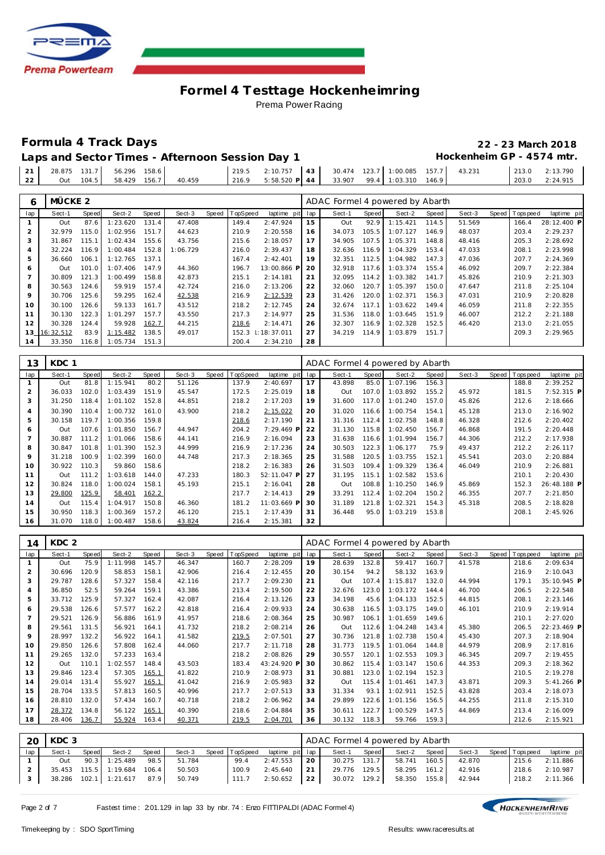

## **Formula 4 Track Days 22 - 23 March 2018**

Laps and Sector Times - Afternoon Session Day 1 **Hockenheim GP** - 4574 mtr.

|    |  | 21 28.875 131.7 56.296 158.6  |  |  |  |  |  | 213.0 2:13.790 |
|----|--|-------------------------------|--|--|--|--|--|----------------|
| 22 |  | Out 104.5 58.429 156.7 40.459 |  |  |  |  |  | 203.0 2:24.915 |
|    |  |                               |  |  |  |  |  |                |

| 6              | MÜCKE <sub>2</sub> |       |          |       |          |       |          |                 |     | ADAC Formel 4 powered by Abarth |       |          |       |        |       |             |             |
|----------------|--------------------|-------|----------|-------|----------|-------|----------|-----------------|-----|---------------------------------|-------|----------|-------|--------|-------|-------------|-------------|
| lap            | Sect-1             | Speed | Sect-2   | Speed | Sect-3   | Speed | TopSpeed | laptime pit     | lap | Sect-1                          | Speed | Sect-2   | Speed | Sect-3 | Speed | T ops pee d | laptime pit |
|                | Out                | 87.6  | 1:23.620 | 131.4 | 47.408   |       | 149.4    | 2:47.924        | 15  | Out                             | 92.9  | 1:15.421 | 114.5 | 51.569 |       | 166.4       | 28:12.400 P |
| 2              | 32.979             | 115.0 | 1:02.956 | 151.7 | 44.623   |       | 210.9    | 2:20.558        | 16  | 34.073                          | 105.5 | 1:07.127 | 146.9 | 48.037 |       | 203.4       | 2:29.237    |
| 3              | 31.867             | 115.1 | 1:02.434 | 155.6 | 43.756   |       | 215.6    | 2:18.057        | 17  | 34.905                          | 107.5 | 1:05.371 | 148.8 | 48.416 |       | 205.3       | 2:28.692    |
| $\overline{4}$ | 32.224             | 116.9 | 1:00.484 | 152.8 | 1:06.729 |       | 216.0    | 2:39.437        | 18  | 32.636                          | 116.9 | 1:04.329 | 153.4 | 47.033 |       | 208.1       | 2:23.998    |
| 5              | 36.660             | 106.1 | 1:12.765 | 137.1 |          |       | 167.4    | 2:42.401        | 19  | 32.351                          | 112.5 | 1:04.982 | 147.3 | 47.036 |       | 207.7       | 2:24.369    |
| 6              | Out                | 101.0 | 1:07.406 | 147.9 | 44.360   |       | 196.7    | 13:00.866 P     | 20  | 32.918                          | 117.6 | 1:03.374 | 155.4 | 46.092 |       | 209.7       | 2:22.384    |
|                | 30.809             | 121.3 | 1:00.499 | 158.8 | 42.873   |       | 215.1    | 2:14.181        | 21  | 32.095                          | 114.2 | 1:03.382 | 141.7 | 45.826 |       | 210.9       | 2:21.303    |
| 8              | 30.563             | 124.6 | 59.919   | 157.4 | 42.724   |       | 216.0    | 2:13.206        | 22  | 32.060                          | 120.7 | 1:05.397 | 150.0 | 47.647 |       | 211.8       | 2:25.104    |
| 9              | 30.706             | 125.6 | 59.295   | 162.4 | 42.538   |       | 216.9    | 2:12.539        | 23  | 31.426                          | 120.0 | 1:02.371 | 156.3 | 47.031 |       | 210.9       | 2:20.828    |
| 10             | 30.100             | 126.6 | 59.133   | 161.7 | 43.512   |       | 218.2    | 2:12.745        | 24  | 32.674                          | 117.1 | 1:03.622 | 149.4 | 46.059 |       | 211.8       | 2:22.355    |
| 11             | 30.130             | 122.3 | 1:01.297 | 157.7 | 43.550   |       | 217.3    | 2:14.977        | 25  | 31.536                          | 118.0 | 1:03.645 | 151.9 | 46.007 |       | 212.2       | 2:21.188    |
| 12             | 30.328             | 124.4 | 59.928   | 162.7 | 44.215   |       | 218.6    | 2:14.471        | 26  | 32.307                          | 116.9 | 1:02.328 | 152.5 | 46.420 |       | 213.0       | 2:21.055    |
|                | 13 16:32.512       | 83.9  | 1:15.482 | 138.5 | 49.017   |       | 152.3    | $\pm 18:37.011$ | 27  | 34.219                          | 114.9 | 1:03.879 | 151.7 |        |       | 209.3       | 2:29.965    |
| 14             | 33.350             | 116.8 | 1:05.734 | 151.3 |          |       | 200.4    | 2:34.210        | 28  |                                 |       |          |       |        |       |             |             |

| 13  | KDC 1  |       |          |       |        |       |          |             |     | ADAC Formel 4 powered by Abarth |       |          |       |        |                   |             |
|-----|--------|-------|----------|-------|--------|-------|----------|-------------|-----|---------------------------------|-------|----------|-------|--------|-------------------|-------------|
| lap | Sect-1 | Speed | Sect-2   | Speed | Sect-3 | Speed | TopSpeed | laptime pit | lap | Sect-1                          | Speed | Sect-2   | Speed | Sect-3 | Speed   Tops peed | laptime pit |
|     | Out    | 81.8  | 1:15.941 | 80.2  | 51.126 |       | 137.9    | 2:40.697    | 17  | 43.898                          | 85.0  | 1:07.196 | 156.3 |        | 188.8             | 2:39.252    |
| 2   | 36.033 | 102.0 | 1:03.439 | 151.9 | 45.547 |       | 172.5    | 2:25.019    | 18  | Out                             | 107.0 | 1:03.892 | 155.2 | 45.972 | 181.5             | 7:52.315 P  |
| 3   | 31.250 | 118.4 | 1:01.102 | 152.8 | 44.851 |       | 218.2    | 2:17.203    | 19  | 31.600                          | 117.0 | 1:01.240 | 157.0 | 45.826 | 212.6             | 2:18.666    |
| 4   | 30.390 | 110.4 | 1:00.732 | 161.0 | 43.900 |       | 218.2    | 2:15.022    | 20  | 31.020                          | 116.6 | 1:00.754 | 154.1 | 45.128 | 213.0             | 2:16.902    |
| 5   | 30.158 | 119.7 | 1:00.356 | 159.8 |        |       | 218.6    | 2:17.190    | 21  | 31.316                          | 112.4 | 1:02.758 | 148.8 | 46.328 | 212.6             | 2:20.402    |
| 6   | Out    | 107.6 | 1:01.850 | 156.7 | 44.947 |       | 204.2    | 7:29.469 P  | 22  | 31.130                          | 115.8 | 1:02.450 | 156.7 | 46.868 | 191.5             | 2:20.448    |
|     | 30.887 | 111.2 | 1:01.066 | 158.6 | 44.141 |       | 216.9    | 2:16.094    | 23  | 31.638                          | 116.6 | 1:01.994 | 156.7 | 44.306 | 212.2             | 2:17.938    |
| 8   | 30.847 | 101.8 | 1:01.390 | 152.3 | 44.999 |       | 216.9    | 2:17.236    | 24  | 30.503                          | 122.3 | 1:06.177 | 75.9  | 49.437 | 212.2             | 2:26.117    |
| 9   | 31.218 | 100.9 | 1:02.399 | 160.0 | 44.748 |       | 217.3    | 2:18.365    | 25  | 31.588                          | 120.5 | 1:03.755 | 152.1 | 45.541 | 203.0             | 2:20.884    |
| 10  | 30.922 | 110.3 | 59.860   | 158.6 |        |       | 218.2    | 2:16.383    | 26  | 31.503                          | 109.4 | 1:09.329 | 136.4 | 46.049 | 210.9             | 2:26.881    |
| 11  | Out    | 111.2 | 1:03.618 | 144.0 | 47.233 |       | 180.3    | 52:11.047 P | 27  | 31.195                          | 115.1 | 1:02.582 | 153.6 |        | 210.1             | 2:20.430    |
| 12  | 30.824 | 118.0 | 1:00.024 | 158.1 | 45.193 |       | 215.1    | 2:16.041    | 28  | Out                             | 108.8 | 1:10.250 | 146.9 | 45.869 | 152.3             | 26:48.188 P |
| 13  | 29.800 | 125.9 | 58.401   | 162.2 |        |       | 217.7    | 2:14.413    | 29  | 33.291                          | 112.4 | 1:02.204 | 150.2 | 46.355 | 207.7             | 2:21.850    |
| 14  | Out    | 115.4 | 1:04.917 | 150.8 | 46.360 |       | 181.2    | 11:03.669 P | 30  | 31.189                          | 121.8 | 1:02.321 | 154.3 | 45.318 | 208.5             | 2:18.828    |
| 15  | 30.950 | 118.3 | 1:00.369 | 157.2 | 46.120 |       | 215.1    | 2:17.439    | 31  | 36.448                          | 95.0  | 1:03.219 | 153.8 |        | 208.1             | 2:45.926    |
| 16  | 31.070 | 118.0 | 1:00.487 | 158.6 | 43.824 |       | 216.4    | 2:15.381    | 32  |                                 |       |          |       |        |                   |             |

| 14  | KDC <sub>2</sub> |       |          |       |        |       |          |             |     | ADAC Formel 4 powered by Abarth |       |          |       |        |       |            |              |
|-----|------------------|-------|----------|-------|--------|-------|----------|-------------|-----|---------------------------------|-------|----------|-------|--------|-------|------------|--------------|
| lap | Sect-1           | Speed | Sect-2   | Speed | Sect-3 | Speed | TopSpeed | laptime pit | lap | Sect-1                          | Speed | Sect-2   | Speed | Sect-3 | Speed | T ops peed | laptime pit  |
|     | Out              | 75.9  | 1:11.998 | 145.7 | 46.347 |       | 160.7    | 2:28.209    | 19  | 28.639                          | 132.8 | 59.417   | 160.7 | 41.578 |       | 218.6      | 2:09.634     |
| 2   | 30.696           | 120.9 | 58.853   | 158.1 | 42.906 |       | 216.4    | 2:12.455    | 20  | 30.154                          | 94.2  | 58.132   | 163.9 |        |       | 216.9      | 2:10.043     |
| 3   | 29.787           | 128.6 | 57.327   | 158.4 | 42.116 |       | 217.7    | 2:09.230    | 21  | Out                             | 107.4 | 1:15.817 | 132.0 | 44.994 |       | 179.1      | 35:10.945 P  |
| 4   | 36.850           | 52.5  | 59.264   | 159.1 | 43.386 |       | 213.4    | 2:19.500    | 22  | 32.676                          | 123.0 | 1:03.172 | 144.4 | 46.700 |       | 206.5      | 2:22.548     |
| 5   | 33.712           | 125.9 | 57.327   | 162.4 | 42.087 |       | 216.4    | 2:13.126    | 23  | 34.198                          | 45.6  | 1:04.133 | 152.5 | 44.815 |       | 208.1      | 2:23.146     |
| 6   | 29.538           | 126.6 | 57.577   | 162.2 | 42.818 |       | 216.4    | 2:09.933    | 24  | 30.638                          | 116.5 | 1:03.175 | 149.0 | 46.101 |       | 210.9      | 2:19.914     |
|     | 29.521           | 126.9 | 56.886   | 161.9 | 41.957 |       | 218.6    | 2:08.364    | 25  | 30.987                          | 106.1 | 1:01.659 | 149.6 |        |       | 210.1      | 2:27.020     |
| 8   | 29.561           | 131.5 | 56.921   | 164.1 | 41.732 |       | 218.2    | 2:08.214    | 26  | Out                             | 112.6 | 1:04.248 | 143.4 | 45.380 |       | 206.5      | 22:23.469 P  |
| 9   | 28.997           | 132.2 | 56.922   | 164.1 | 41.582 |       | 219.5    | 2:07.501    | 27  | 30.736                          | 121.8 | 1:02.738 | 150.4 | 45.430 |       | 207.3      | 2:18.904     |
| 10  | 29.850           | 126.6 | 57.808   | 162.4 | 44.060 |       | 217.7    | 2:11.718    | 28  | 31.773                          | 119.5 | 1:01.064 | 144.8 | 44.979 |       | 208.9      | 2:17.816     |
| 11  | 29.265           | 132.0 | 57.233   | 163.4 |        |       | 218.2    | 2:08.826    | 29  | 30.557                          | 120.1 | 1:02.553 | 109.3 | 46.345 |       | 209.7      | 2:19.455     |
| 12  | Out              | 110.1 | 1:02.557 | 148.4 | 43.503 |       | 183.4    | 43:24.920 F | 30  | 30.862                          | 115.4 | 1:03.147 | 150.6 | 44.353 |       | 209.3      | 2:18.362     |
| 13  | 29.846           | 123.4 | 57.305   | 165.1 | 41.822 |       | 210.9    | 2:08.973    | 31  | 30.881                          | 123.0 | 1:02.194 | 152.3 |        |       | 210.5      | 2:19.278     |
| 14  | 29.014           | 131.4 | 55.927   | 165.1 | 41.042 |       | 216.9    | 2:05.983    | 32  | Out                             | 115.4 | 1:01.461 | 147.3 | 43.871 |       | 209.3      | $5:41.266$ P |
| 15  | 28.704           | 133.5 | 57.813   | 160.5 | 40.996 |       | 217.7    | 2:07.513    | 33  | 31.334                          | 93.1  | 1:02.911 | 152.5 | 43.828 |       | 203.4      | 2:18.073     |
| 16  | 28.810           | 132.0 | 57.434   | 160.7 | 40.718 |       | 218.2    | 2:06.962    | 34  | 29.899                          | 122.6 | 1:01.156 | 156.5 | 44.255 |       | 211.8      | 2:15.310     |
| 17  | 28.372           | 134.8 | 56.122   | 165.1 | 40.390 |       | 218.6    | 2:04.884    | 35  | 30.611                          | 122.7 | 1:00.529 | 147.5 | 44.869 |       | 213.4      | 2:16.009     |
| 18  | 28.406           | 136.7 | 55.924   | 163.4 | 40.371 |       | 219.5    | 2:04.701    | 36  | 30.132                          | 118.3 | 59.766   | 159.3 |        |       | 212.6      | 2:15.921     |
|     |                  |       |          |       |        |       |          |             |     |                                 |       |          |       |        |       |            |              |
| 20  | KDC 3            |       |          |       |        |       |          |             |     | ADAC Formel 4 powered by Abarth |       |          |       |        |       |            |              |

|     | 20   KDC 3 |       |                             |       |        |                |                 |    | ADAC Formel 4 powered by Abarth |       |        |       |        |                |             |
|-----|------------|-------|-----------------------------|-------|--------|----------------|-----------------|----|---------------------------------|-------|--------|-------|--------|----------------|-------------|
| lap | Sect-1     | Speed | Sect-2                      | Speed | Sect-3 | Speed TopSpeed | laptime pit lap |    | Sect-1                          | Speed | Sect-2 | Speed | Sect-3 | Speed Topspeed | laptime pit |
|     | Out        |       | 90.3 1:25.489               | 98.5  | 51.784 | 99.4           | 2:47.553        | 20 | 30.275 131.7                    |       | 58.741 | 160.5 | 42.870 | 215.6          | 2:11.886    |
|     |            |       | 35.453 115.5 1:19.684 106.4 |       | 50.503 | 100.9          | 2:45.640        | 21 | 29.776 129.5                    |       | 58.295 | 161.2 | 42.916 | 218.6          | 2:10.987    |
|     |            |       | 38.286 102.1 1:21.617 87.9  |       | 50.749 | 111.7          | 2:50.652        | 22 | 30.072 129.2                    |       | 58.350 | 155.8 | 42.944 | 218.2          | 2:11.366    |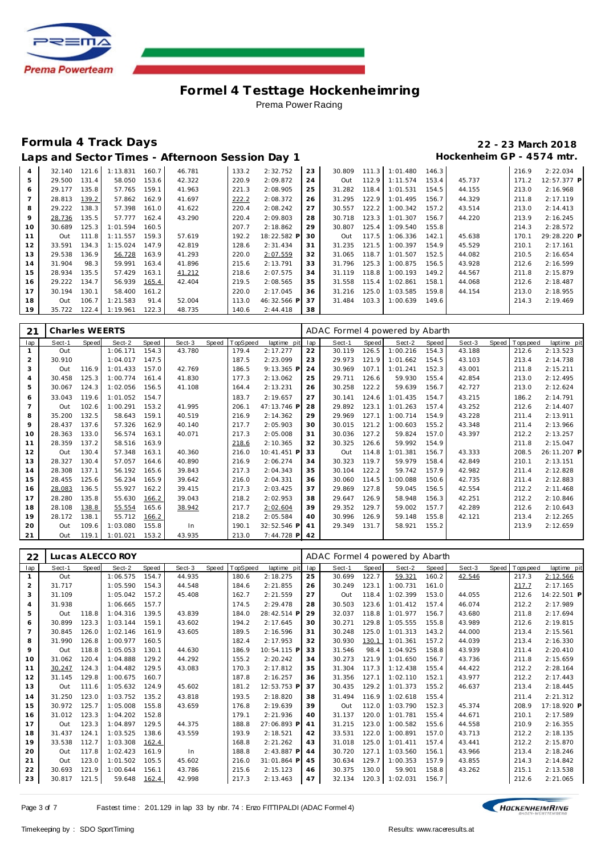

## **Formula 4 Track Days**

|  | Laps and Sector Times - Afternoon Session Day 1 | Hockenheim GP - 4574 mtr. |  |
|--|-------------------------------------------------|---------------------------|--|
|  |                                                 |                           |  |

|                                                     | 22 - 23 March 2018 |  |
|-----------------------------------------------------|--------------------|--|
| $n \times n$ $n \times n$ $n \times n$ $n \times n$ |                    |  |

| 4  | 32.140 | 121.6 | 1:13.831 | 160.7 | 46.781 | 133.2 | 2:32.752    | 23 | 30.809 | 111.3 | 1:01.480 | 146.3 |        | 216.9 | 2:22.034    |
|----|--------|-------|----------|-------|--------|-------|-------------|----|--------|-------|----------|-------|--------|-------|-------------|
| 5  | 29.500 | 131.4 | 58.050   | 153.6 | 42.322 | 220.9 | 2:09.872    | 24 | Out    | 112.9 | 1:11.574 | 153.4 | 45.737 | 171.2 | 12:57.377 P |
| 6  | 29.177 | 135.8 | 57.765   | 159.1 | 41.963 | 221.3 | 2:08.905    | 25 | 31.282 | 118.4 | 1:01.531 | 154.5 | 44.155 | 213.0 | 2:16.968    |
|    | 28.813 | 139.2 | 57.862   | 162.9 | 41.697 | 222.2 | 2:08.372    | 26 | 31.295 | 122.9 | 1:01.495 | 156.7 | 44.329 | 211.8 | 2:17.119    |
| 8  | 29.222 | 138.3 | 57.398   | 161.0 | 41.622 | 220.4 | 2:08.242    | 27 | 30.557 | 122.2 | 1:00.342 | 157.2 | 43.514 | 213.0 | 2:14.413    |
| 9  | 28.736 | 135.5 | 57.777   | 162.4 | 43.290 | 220.4 | 2:09.803    | 28 | 30.718 | 123.3 | 1:01.307 | 156.7 | 44.220 | 213.9 | 2:16.245    |
| 10 | 30.689 | 125.3 | 1:01.594 | 160.5 |        | 207.7 | 2:18.862    | 29 | 30.807 | 125.4 | 1:09.540 | 155.8 |        | 214.3 | 2:28.572    |
| 11 | Out    | 111.8 | 1:11.557 | 159.3 | 57.619 | 192.2 | 18:22.582 P | 30 | Out    | 117.5 | 1:06.336 | 142.1 | 45.638 | 170.1 | 29:28.220 P |
| 12 | 33.591 | 134.3 | 1:15.024 | 147.9 | 42.819 | 128.6 | 2:31.434    | 31 | 31.235 | 121.5 | 1:00.397 | 154.9 | 45.529 | 210.1 | 2:17.161    |
| 13 | 29.538 | 136.9 | 56.728   | 163.9 | 41.293 | 220.0 | 2:07.559    | 32 | 31.065 | 118.7 | 1:01.507 | 152.5 | 44.082 | 210.5 | 2:16.654    |
| 14 | 31.904 | 98.3  | 59.991   | 163.4 | 41.896 | 215.6 | 2:13.791    | 33 | 31.796 | 125.3 | 1:00.875 | 156.5 | 43.928 | 212.6 | 2:16.599    |
| 15 | 28.934 | 135.5 | 57.429   | 163.1 | 41.212 | 218.6 | 2:07.575    | 34 | 31.119 | 118.8 | 1:00.193 | 149.2 | 44.567 | 211.8 | 2:15.879    |
| 16 | 29.222 | 134.7 | 56.939   | 165.4 | 42.404 | 219.5 | 2:08.565    | 35 | 31.558 | 115.4 | 1:02.861 | 158.1 | 44.068 | 212.6 | 2:18.487    |
| 17 | 30.194 | 130.1 | 58.400   | 161.2 |        | 220.0 | 2:17.045    | 36 | 31.216 | 125.0 | 1:03.585 | 159.8 | 44.154 | 213.0 | 2:18.955    |
| 18 | Out    | 106.7 | 1:21.583 | 91.4  | 52.004 | 113.0 | 46:32.566 P | 37 | 31.484 | 103.3 | 1:00.639 | 149.6 |        | 214.3 | 2:19.469    |
| 19 | 35.722 | 122.4 | 1:19.961 | 122.3 | 48.735 | 140.6 | 2:44.418    | 38 |        |       |          |       |        |       |             |

| 21  | <b>Charles WEERTS</b> |              |          |       |        |       |          |              |     | ADAC Formel 4 powered by Abarth |       |          |       |        |       |             |             |
|-----|-----------------------|--------------|----------|-------|--------|-------|----------|--------------|-----|---------------------------------|-------|----------|-------|--------|-------|-------------|-------------|
| lap | Sect-1                | <b>Speed</b> | Sect-2   | Speed | Sect-3 | Speed | TopSpeed | laptime pit  | lap | Sect-1                          | Speed | Sect-2   | Speed | Sect-3 | Speed | T ops pee d | laptime pit |
|     | Out                   |              | 1:06.171 | 154.3 | 43.780 |       | 179.4    | 2:17.277     | 22  | 30.119                          | 126.5 | 1:00.216 | 154.3 | 43.188 |       | 212.6       | 2:13.523    |
| 2   | 30.910                |              | 1:04.017 | 147.5 |        |       | 187.5    | 2:23.099     | 23  | 29.973                          | 121.9 | 1:01.662 | 154.5 | 43.103 |       | 213.4       | 2:14.738    |
| 3   | Out                   | 116.9        | 1:01.433 | 157.0 | 42.769 |       | 186.5    | $9:13.365$ F | 24  | 30.969                          | 107.1 | 1:01.241 | 152.3 | 43.001 |       | 211.8       | 2:15.211    |
| 4   | 30.458                | 125.3        | 1:00.774 | 161.4 | 41.830 |       | 177.3    | 2:13.062     | 25  | 29.711                          | 126.6 | 59.930   | 155.4 | 42.854 |       | 213.0       | 2:12.495    |
| 5   | 30.067                | 124.3        | 1:02.056 | 156.5 | 41.108 |       | 164.4    | 2:13.231     | 26  | 30.258                          | 122.2 | 59.639   | 156.7 | 42.727 |       | 213.0       | 2:12.624    |
| 6   | 33.043                | 119.6        | 1:01.052 | 154.7 |        |       | 183.7    | 2:19.657     | 27  | 30.141                          | 124.6 | 1:01.435 | 154.7 | 43.215 |       | 186.2       | 2:14.791    |
|     | Out                   | 102.6        | 1:00.291 | 153.2 | 41.995 |       | 206.1    | 47:13.746 F  | 28  | 29.892                          | 123.1 | 1:01.263 | 157.4 | 43.252 |       | 212.6       | 2:14.407    |
| 8   | 35.200                | 132.5        | 58.643   | 159.1 | 40.519 |       | 216.9    | 2:14.362     | 29  | 29.969                          | 127.1 | 1:00.714 | 154.9 | 43.228 |       | 211.4       | 2:13.911    |
| 9   | 28.437                | 137.6        | 57.326   | 162.9 | 40.140 |       | 217.7    | 2:05.903     | 30  | 30.015                          | 121.2 | 1:00.603 | 155.2 | 43.348 |       | 211.4       | 2:13.966    |
| 10  | 28.363                | 133.0        | 56.574   | 163.1 | 40.071 |       | 217.3    | 2:05.008     | 31  | 30.036                          | 127.2 | 59.824   | 157.0 | 43.397 |       | 212.2       | 2:13.257    |
| 11  | 28.359                | 137.2        | 58.516   | 163.9 |        |       | 218.6    | 2:10.365     | 32  | 30.325                          | 126.6 | 59.992   | 154.9 |        |       | 211.8       | 2:15.047    |
| 12  | Out                   | 130.4        | 57.348   | 163.1 | 40.360 |       | 216.0    | 10:41.451 F  | 33  | Out                             | 114.8 | 1:01.381 | 156.7 | 43.333 |       | 208.5       | 26:11.207 P |
| 13  | 28.327                | 130.4        | 57.057   | 164.6 | 40.890 |       | 216.9    | 2:06.274     | 34  | 30.323                          | 119.7 | 59.979   | 158.4 | 42.849 |       | 210.1       | 2:13.151    |
| 14  | 28.308                | 137.1        | 56.192   | 165.6 | 39.843 |       | 217.3    | 2:04.343     | 35  | 30.104                          | 122.2 | 59.742   | 157.9 | 42.982 |       | 211.4       | 2:12.828    |
| 15  | 28.455                | 125.6        | 56.234   | 165.9 | 39.642 |       | 216.0    | 2:04.331     | 36  | 30.060                          | 114.5 | 1:00.088 | 150.6 | 42.735 |       | 211.4       | 2:12.883    |
| 16  | 28.083                | 136.5        | 55.927   | 162.2 | 39.415 |       | 217.3    | 2:03.425     | 37  | 29.869                          | 127.8 | 59.045   | 156.5 | 42.554 |       | 212.2       | 2:11.468    |
| 17  | 28.280                | 135.8        | 55.630   | 166.2 | 39.043 |       | 218.2    | 2:02.953     | 38  | 29.647                          | 126.9 | 58.948   | 156.3 | 42.251 |       | 212.2       | 2:10.846    |
| 18  | 28.108                | 138.8        | 55.554   | 165.6 | 38.942 |       | 217.7    | 2:02.604     | 39  | 29.352                          | 129.7 | 59.002   | 157.7 | 42.289 |       | 212.6       | 2:10.643    |
| 19  | 28.172                | 138.1        | 55.712   | 166.2 |        |       | 218.2    | 2:05.584     | 40  | 30.996                          | 126.9 | 59.148   | 155.8 | 42.121 |       | 213.4       | 2:12.265    |
| 20  | Out                   | 109.6        | 1:03.080 | 155.8 | In     |       | 190.1    | 32:52.546 P  | 41  | 29.349                          | 131.7 | 58.921   | 155.2 |        |       | 213.9       | 2:12.659    |
| 21  | Out                   | 119.1        | 1:01.021 | 153.2 | 43.935 |       | 213.0    | 7:44.728 P   | 42  |                                 |       |          |       |        |       |             |             |

| 22             |        |       | Lucas ALECCO ROY |       |        |       |          |             |     | ADAC Formel 4 powered by Abarth |       |          |       |        |       |            |             |
|----------------|--------|-------|------------------|-------|--------|-------|----------|-------------|-----|---------------------------------|-------|----------|-------|--------|-------|------------|-------------|
| Iap            | Sect-1 | Speed | Sect-2           | Speed | Sect-3 | Speed | TopSpeed | laptime pit | lap | Sect-1                          | Speed | Sect-2   | Speed | Sect-3 | Speed | T ops peed | laptime pit |
|                | Out    |       | 1:06.575         | 154.7 | 44.935 |       | 180.6    | 2:18.275    | 25  | 30.699                          | 122.7 | 59.321   | 160.2 | 42.546 |       | 217.3      | 2:12.566    |
| 2              | 31.717 |       | 1:05.590         | 154.3 | 44.548 |       | 184.6    | 2:21.855    | 26  | 30.249                          | 123.1 | 1:00.731 | 161.0 |        |       | 217.7      | 2:17.165    |
| 3              | 31.109 |       | 1:05.042         | 157.2 | 45.408 |       | 162.7    | 2:21.559    | 27  | Out                             | 118.4 | 1:02.399 | 153.0 | 44.055 |       | 212.6      | 14:22.501 P |
| $\overline{4}$ | 31.938 |       | 1:06.665         | 157.7 |        |       | 174.5    | 2:29.478    | 28  | 30.503                          | 123.6 | 1:01.412 | 157.4 | 46.074 |       | 212.2      | 2:17.989    |
| 5              | Out    | 118.8 | 1:04.316         | 139.5 | 43.839 |       | 184.0    | 28:42.514 P | 29  | 32.037                          | 118.8 | 1:01.977 | 156.7 | 43.680 |       | 211.8      | 2:17.694    |
| 6              | 30.899 | 123.3 | 1:03.144         | 159.1 | 43.602 |       | 194.2    | 2:17.645    | 30  | 30.271                          | 129.8 | 1:05.555 | 155.8 | 43.989 |       | 212.6      | 2:19.815    |
| $\overline{7}$ | 30.845 | 126.0 | 1:02.146         | 161.9 | 43.605 |       | 189.5    | 2:16.596    | 31  | 30.248                          | 125.0 | 1:01.313 | 143.2 | 44.000 |       | 213.4      | 2:15.561    |
| 8              | 31.990 | 126.8 | 1:00.977         | 160.5 |        |       | 182.4    | 2:17.953    | 32  | 30.930                          | 130.1 | 1:01.361 | 157.2 | 44.039 |       | 213.4      | 2:16.330    |
| 9              | Out    | 118.8 | 1:05.053         | 130.1 | 44.630 |       | 186.9    | 10:54.115 F | 33  | 31.546                          | 98.4  | 1:04.925 | 158.8 | 43.939 |       | 211.4      | 2:20.410    |
| 10             | 31.062 | 120.4 | 1:04.888         | 129.2 | 44.292 |       | 155.2    | 2:20.242    | 34  | 30.273                          | 121.9 | 1:01.650 | 156.7 | 43.736 |       | 211.8      | 2:15.659    |
| 11             | 30.247 | 124.3 | 1:04.482         | 129.5 | 43.083 |       | 170.3    | 2:17.812    | 35  | 31.304                          | 117.3 | 1:12.438 | 155.4 | 44.422 |       | 212.2      | 2:28.164    |
| 12             | 31.145 | 129.8 | 1:00.675         | 160.7 |        |       | 187.8    | 2:16.257    | 36  | 31.356                          | 127.1 | 1:02.110 | 152.1 | 43.977 |       | 212.2      | 2:17.443    |
| 13             | Out    | 111.6 | 1:05.632         | 124.9 | 45.602 |       | 181.2    | 12:53.753 F | 37  | 30.435                          | 129.2 | 1:01.373 | 155.2 | 46.637 |       | 213.4      | 2:18.445    |
| 14             | 31.250 | 123.0 | 1:03.752         | 135.2 | 43.818 |       | 193.5    | 2:18.820    | 38  | 31.494                          | 116.9 | 1:02.618 | 155.4 |        |       | 211.4      | 2:21.312    |
| 15             | 30.972 | 125.7 | 1:05.008         | 155.8 | 43.659 |       | 176.8    | 2:19.639    | 39  | Out                             | 112.0 | 1:03.790 | 152.3 | 45.374 |       | 208.9      | 17:18.920 P |
| 16             | 31.012 | 123.3 | 1:04.202         | 152.8 |        |       | 179.1    | 2:21.936    | 40  | 31.137                          | 120.0 | 1:01.781 | 155.4 | 44.671 |       | 210.1      | 2:17.589    |
| 17             | Out    | 123.3 | 1:04.897         | 129.5 | 44.375 |       | 188.8    | 27:06.893 P | 41  | 31.215                          | 123.0 | 1:00.582 | 155.6 | 44.558 |       | 210.9      | 2:16.355    |
| 18             | 31.437 | 124.1 | 1:03.525         | 138.6 | 43.559 |       | 193.9    | 2:18.521    | 42  | 33.531                          | 122.0 | 1:00.891 | 157.0 | 43.713 |       | 212.2      | 2:18.135    |
| 19             | 33.538 | 112.7 | 1:03.308         | 162.4 |        |       | 168.8    | 2:21.262    | 43  | 31.018                          | 125.0 | 1:01.411 | 157.4 | 43.441 |       | 212.2      | 2:15.870    |
| 20             | Out    | 117.8 | 1:02.423         | 161.9 | In     |       | 188.8    | 2:43.887 P  | 44  | 30.720                          | 127.1 | 1:03.560 | 156.1 | 43.966 |       | 213.4      | 2:18.246    |
| 21             | Out    | 123.0 | 1:01.502         | 105.5 | 45.602 |       | 216.0    | 31:01.864 P | 45  | 30.634                          | 129.7 | 1:00.353 | 157.9 | 43.855 |       | 214.3      | 2:14.842    |
| 22             | 30.693 | 121.9 | 1:00.644         | 156.1 | 43.786 |       | 215.6    | 2:15.123    | 46  | 30.375                          | 130.0 | 59.901   | 158.8 | 43.262 |       | 215.1      | 2:13.538    |
| 23             | 30.817 | 121.5 | 59.648           | 162.4 | 42.998 |       | 217.3    | 2:13.463    | 47  | 32.134                          | 120.3 | 1:02.031 | 156.7 |        |       | 212.6      | 2:21.065    |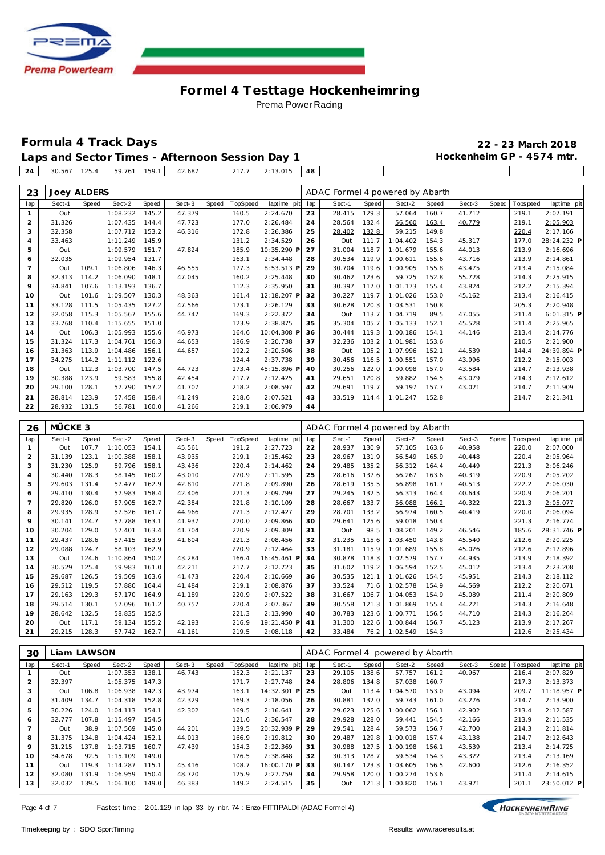

## **Formula 4 Track Days 22 - 23 March 2018 Laps and Sector Times - Afternoon Session Day 1 Hockenheim GP - 4574 mtr.**

**Contract Contract Contract** 

**The Common** 

|  |  | Laps and Sector Times - Arternoon Session Day T |                   |  |
|--|--|-------------------------------------------------|-------------------|--|
|  |  | $24$ 30.567 125.4 59.761 159.1 42.687           | 217.7 2:13.015 48 |  |

| 23             | <b>Joey ALDERS</b> |              |          |       |        |       |          |             |     | ADAC Formel 4 powered by Abarth |       |          |       |        |       |             |              |
|----------------|--------------------|--------------|----------|-------|--------|-------|----------|-------------|-----|---------------------------------|-------|----------|-------|--------|-------|-------------|--------------|
| lap            | Sect-1             | <b>Speed</b> | Sect-2   | Speed | Sect-3 | Speed | TopSpeed | laptime pit | lap | Sect-1                          | Speed | Sect-2   | Speed | Sect-3 | Speed | T ops pee d | laptime pit  |
| $\mathbf{1}$   | Out                |              | 1:08.232 | 145.2 | 47.379 |       | 160.5    | 2:24.670    | 23  | 28.415                          | 129.3 | 57.064   | 160.7 | 41.712 |       | 219.1       | 2:07.191     |
| 2              | 31.326             |              | 1:07.435 | 144.4 | 47.723 |       | 177.0    | 2:26.484    | 24  | 28.564                          | 132.4 | 56.560   | 163.4 | 40.779 |       | 219.1       | 2:05.903     |
| 3              | 32.358             |              | 1:07.712 | 153.2 | 46.316 |       | 172.8    | 2:26.386    | 25  | 28.402                          | 132.8 | 59.215   | 149.8 |        |       | 220.4       | 2:17.166     |
| $\overline{4}$ | 33.463             |              | 1:11.249 | 145.9 |        |       | 131.2    | 2:34.529    | 26  | Out                             | 111.7 | 1:04.402 | 154.3 | 45.317 |       | 177.0       | 28:24.232 P  |
| 5              | Out                |              | 1:09.579 | 151.7 | 47.824 |       | 185.9    | 10:35.290 P | 27  | 31.004                          | 118.7 | 1:01.679 | 155.6 | 44.013 |       | 213.9       | 2:16.696     |
| 6              | 32.035             |              | 1:09.954 | 131.7 |        |       | 163.1    | 2:34.448    | 28  | 30.534                          | 119.9 | 1:00.611 | 155.6 | 43.716 |       | 213.9       | 2:14.861     |
| $\overline{7}$ | Out                | 109.1        | 1:06.806 | 146.3 | 46.555 |       | 177.3    | 8:53.513 P  | 29  | 30.704                          | 119.6 | 1:00.905 | 155.8 | 43.475 |       | 213.4       | 2:15.084     |
| 8              | 32.313             | 114.2        | 1:06.090 | 148.1 | 47.045 |       | 160.2    | 2:25.448    | 30  | 30.462                          | 123.6 | 59.725   | 152.8 | 55.728 |       | 214.3       | 2:25.915     |
| 9              | 34.841             | 107.6        | 1:13.193 | 136.7 |        |       | 112.3    | 2:35.950    | 31  | 30.397                          | 117.0 | 1:01.173 | 155.4 | 43.824 |       | 212.2       | 2:15.394     |
| 10             | Out                | 101.6        | 1:09.507 | 130.3 | 48.363 |       | 161.4    | 12:18.207 P | 32  | 30.227                          | 119.7 | 1:01.026 | 153.0 | 45.162 |       | 213.4       | 2:16.415     |
| 11             | 33.128             | 111.5        | 1:05.435 | 127.2 | 47.566 |       | 173.1    | 2:26.129    | 33  | 30.628                          | 120.3 | 1:03.531 | 150.8 |        |       | 205.3       | 2:20.948     |
| 12             | 32.058             | 115.3        | 1:05.567 | 155.6 | 44.747 |       | 169.3    | 2:22.372    | 34  | Out                             | 113.7 | 1:04.719 | 89.5  | 47.055 |       | 211.4       | $6:01.315$ P |
| 13             | 33.768             | 110.4        | 1:15.655 | 151.0 |        |       | 123.9    | 2:38.875    | 35  | 35.304                          | 105.7 | 1:05.133 | 152.1 | 45.528 |       | 211.4       | 2:25.965     |
| 14             | Out                | 106.3        | 1:05.993 | 155.6 | 46.973 |       | 164.6    | 10:04.308 P | 36  | 30.444                          | 119.3 | 1:00.186 | 154.1 | 44.146 |       | 213.4       | 2:14.776     |
| 15             | 31.324             | 117.3        | 1:04.761 | 156.3 | 44.653 |       | 186.9    | 2:20.738    | 37  | 32.236                          | 103.2 | 1:01.981 | 153.6 |        |       | 210.5       | 2:21.900     |
| 16             | 31.363             | 113.9        | 1:04.486 | 156.1 | 44.657 |       | 192.2    | 2:20.506    | 38  | Out                             | 105.2 | 1:07.996 | 152.1 | 44.539 |       | 144.4       | 24:39.894 P  |
| 17             | 34.275             | 114.2        | 1:11.112 | 122.6 |        |       | 124.4    | 2:37.738    | 39  | 30.456                          | 116.5 | 1:00.551 | 157.0 | 43.996 |       | 212.2       | 2:15.003     |
| 18             | Out                | 112.3        | 1:03.700 | 147.5 | 44.723 |       | 173.4    | 45:15.896 P | 40  | 30.256                          | 122.0 | 1:00.098 | 157.0 | 43.584 |       | 214.7       | 2:13.938     |
| 19             | 30.388             | 123.9        | 59.583   | 155.8 | 42.454 |       | 217.7    | 2:12.425    | 41  | 29.651                          | 120.8 | 59.882   | 154.5 | 43.079 |       | 214.3       | 2:12.612     |
| 20             | 29.100             | 128.1        | 57.790   | 157.2 | 41.707 |       | 218.2    | 2:08.597    | 42  | 29.691                          | 119.7 | 59.197   | 157.7 | 43.021 |       | 214.7       | 2:11.909     |
| 21             | 28.814             | 123.9        | 57.458   | 158.4 | 41.249 |       | 218.6    | 2:07.521    | 43  | 33.519                          | 114.4 | 1:01.247 | 152.8 |        |       | 214.7       | 2: 21.341    |
| 22             | 28.932             | 131.5        | 56.781   | 160.0 | 41.266 |       | 219.1    | 2:06.979    | 44  |                                 |       |          |       |        |       |             |              |

| 26             | MÜCKE <sub>3</sub> |              |          |       |        |       |          |             |     | ADAC Formel 4 powered by Abarth |       |          |       |        |       |            |             |
|----------------|--------------------|--------------|----------|-------|--------|-------|----------|-------------|-----|---------------------------------|-------|----------|-------|--------|-------|------------|-------------|
| lap            | Sect-1             | <b>Speed</b> | Sect-2   | Speed | Sect-3 | Speed | TopSpeed | laptime pit | lap | Sect-1                          | Speed | Sect-2   | Speed | Sect-3 | Speed | T ops peed | laptime pit |
| -1             | Out                | 107.7        | 1:10.053 | 154.1 | 45.561 |       | 191.2    | 2:27.723    | 22  | 28.937                          | 130.9 | 57.105   | 163.6 | 40.958 |       | 220.0      | 2:07.000    |
| 2              | 31.139             | 123.1        | 1:00.388 | 158.1 | 43.935 |       | 219.1    | 2:15.462    | 23  | 28.967                          | 131.9 | 56.549   | 165.9 | 40.448 |       | 220.4      | 2:05.964    |
| 3              | 31.230             | 125.9        | 59.796   | 158.1 | 43.436 |       | 220.4    | 2:14.462    | 24  | 29.485                          | 135.2 | 56.312   | 164.4 | 40.449 |       | 221.3      | 2:06.246    |
| 4              | 30.440             | 128.3        | 58.145   | 160.2 | 43.010 |       | 220.9    | 2:11.595    | 25  | 28.616                          | 137.6 | 56.267   | 163.6 | 40.319 |       | 220.9      | 2:05.202    |
| 5              | 29.603             | 131.4        | 57.477   | 162.9 | 42.810 |       | 221.8    | 2:09.890    | 26  | 28.619                          | 135.5 | 56.898   | 161.7 | 40.513 |       | 222.2      | 2:06.030    |
| 6              | 29.410             | 130.4        | 57.983   | 158.4 | 42.406 |       | 221.3    | 2:09.799    | 27  | 29.245                          | 132.5 | 56.313   | 164.4 | 40.643 |       | 220.9      | 2:06.201    |
| $\overline{7}$ | 29.820             | 126.0        | 57.905   | 162.7 | 42.384 |       | 221.8    | 2:10.109    | 28  | 28.667                          | 133.7 | 56.088   | 166.2 | 40.322 |       | 221.3      | 2:05.077    |
| 8              | 29.935             | 128.9        | 57.526   | 161.7 | 44.966 |       | 221.3    | 2:12.427    | 29  | 28.701                          | 133.2 | 56.974   | 160.5 | 40.419 |       | 220.0      | 2:06.094    |
| 9              | 30.141             | 124.7        | 57.788   | 163.1 | 41.937 |       | 220.0    | 2:09.866    | 30  | 29.641                          | 125.6 | 59.018   | 150.4 |        |       | 221.3      | 2:16.774    |
| 10             | 30.204             | 129.0        | 57.401   | 163.4 | 41.704 |       | 220.9    | 2:09.309    | 31  | Out                             | 98.5  | 1:08.201 | 149.2 | 46.546 |       | 185.6      | 28:31.746 P |
| 11             | 29.437             | 128.6        | 57.415   | 163.9 | 41.604 |       | 221.3    | 2:08.456    | 32  | 31.235                          | 115.6 | 1:03.450 | 143.8 | 45.540 |       | 212.6      | 2:20.225    |
| 12             | 29.088             | 124.7        | 58.103   | 162.9 |        |       | 220.9    | 2:12.464    | 33  | 31.181                          | 115.9 | 1:01.689 | 155.8 | 45.026 |       | 212.6      | 2:17.896    |
| 13             | Out                | 124.6        | 1:10.864 | 150.2 | 43.284 |       | 166.4    | 16:45.461 P | 34  | 30.878                          | 118.3 | 1:02.579 | 157.7 | 44.935 |       | 213.9      | 2:18.392    |
| 14             | 30.529             | 125.4        | 59.983   | 161.0 | 42.211 |       | 217.7    | 2:12.723    | 35  | 31.602                          | 119.2 | 1:06.594 | 152.5 | 45.012 |       | 213.4      | 2:23.208    |
| 15             | 29.687             | 126.5        | 59.509   | 163.6 | 41.473 |       | 220.4    | 2:10.669    | 36  | 30.535                          | 121.1 | 1:01.626 | 154.5 | 45.951 |       | 214.3      | 2:18.112    |
| 16             | 29.512             | 119.5        | 57.880   | 164.4 | 41.484 |       | 219.1    | 2:08.876    | 37  | 33.524                          | 71.6  | 1:02.578 | 154.9 | 44.569 |       | 212.2      | 2:20.671    |
| 17             | 29.163             | 129.3        | 57.170   | 164.9 | 41.189 |       | 220.9    | 2:07.522    | 38  | 31.667                          | 106.7 | 1:04.053 | 154.9 | 45.089 |       | 211.4      | 2:20.809    |
| 18             | 29.514             | 130.1        | 57.096   | 161.2 | 40.757 |       | 220.4    | 2:07.367    | 39  | 30.558                          | 121.3 | 1:01.869 | 155.4 | 44.221 |       | 214.3      | 2:16.648    |
| 19             | 28.642             | 132.5        | 58.835   | 152.5 |        |       | 221.3    | 2:13.990    | 40  | 30.783                          | 123.6 | 1:00.771 | 156.5 | 44.710 |       | 214.3      | 2:16.264    |
| 20             | Out                | 117.1        | 59.134   | 155.2 | 42.193 |       | 216.9    | 19:21.450 P | 41  | 31.300                          | 122.6 | 1:00.844 | 156.7 | 45.123 |       | 213.9      | 2:17.267    |
| 21             | 29.215             | 128.3        | 57.742   | 162.7 | 41.161 |       | 219.5    | 2:08.118    | 42  | 33.484                          | 76.2  | 1:02.549 | 154.3 |        |       | 212.6      | 2:25.434    |

| 30             | Liam LAWSON |        |          |       |        |       |          |             |     | ADAC Formel 4 powered by Abarth |       |          |       |        |                |             |
|----------------|-------------|--------|----------|-------|--------|-------|----------|-------------|-----|---------------------------------|-------|----------|-------|--------|----------------|-------------|
| lap            | Sect-1      | Speed  | Sect-2   | Speed | Sect-3 | Speed | TopSpeed | laptime pit | lap | Sect-1                          | Speed | Sect-2   | Speed | Sect-3 | Speed Topspeed | laptime pit |
|                | Out         |        | 1:07.353 | 138.1 | 46.743 |       | 152.3    | 2:21.137    | 23  | 29.105                          | 138.6 | 57.757   | 161.2 | 40.967 | 216.4          | 2:07.829    |
| $\overline{2}$ | 32.397      |        | 1:05.375 | 147.3 |        |       | 171.7    | 2:27.748    | 24  | 28.806                          | 134.8 | 57.038   | 160.7 |        | 217.3          | 2:13.373    |
| 3              | Out         | 106.8  | 1:06.938 | 142.3 | 43.974 |       | 163.1    | 14:32.301 P | 25  | Out                             | 113.4 | 1:04.570 | 153.0 | 43.094 | 209.7          | 11:18.957 P |
| $\overline{4}$ | 31.409      | 134.7  | 1:04.318 | 152.8 | 42.329 |       | 169.3    | 2:18.056    | 26  | 30.881                          | 132.0 | 59.743   | 161.0 | 43.276 | 214.7          | 2:13.900    |
| 5              | 30.226      | 124.0  | 1:04.113 | 154.1 | 42.302 |       | 169.5    | 2:16.641    | 27  | 29.623                          | 125.6 | 1:00.062 | 156.1 | 42.902 | 213.4          | 2:12.587    |
| 6              | 32.777      | 107.8  | 1:15.497 | 154.5 |        |       | 121.6    | 2:36.547    | 28  | 29.928                          | 128.0 | 59.441   | 154.5 | 42.166 | 213.9          | 2:11.535    |
|                | Out         | 38.9   | 1:07.569 | 145.0 | 44.201 |       | 139.5    | 20:32.939 P | 29  | 29.541                          | 128.4 | 59.573   | 156.7 | 42.700 | 214.3          | 2:11.814    |
| 8              | 31.375      | 134.81 | 1:04.424 | 152.1 | 44.013 |       | 166.9    | 2:19.812    | 30  | 29.487                          | 129.8 | 1:00.018 | 157.4 | 43.138 | 214.7          | 2:12.643    |
| 9              | 31.215      | 137.8  | 1:03.715 | 160.7 | 47.439 |       | 154.3    | 2:22.369    | 31  | 30.988                          | 127.5 | 1:00.198 | 156.1 | 43.539 | 213.4          | 2:14.725    |
| 10             | 34.678      | 92.5   | 1:15.109 | 149.0 |        |       | 126.5    | 2:38.848    | 32  | 30.313                          | 128.7 | 59.534   | 154.3 | 43.322 | 213.4          | 2:13.169    |
| 11             | Out         | 119.3  | 1:14.287 | 115.1 | 45.416 |       | 108.7    | 16:00.170 P | 33  | 30.147                          | 123.3 | 1:03.605 | 156.5 | 42.600 | 212.6          | 2:16.352    |
| 12             | 32.080      | 131.9  | 1:06.959 | 150.4 | 48.720 |       | 125.9    | 2:27.759    | 34  | 29.958                          | 120.0 | 1:00.274 | 153.6 |        | 211.4          | 2:14.615    |
| 13             | 32.032      | 139.5  | 1:06.100 | 149.0 | 46.383 |       | 149.2    | 2:24.515    | 35  | Out                             | 121.3 | 1:00.820 | 156.1 | 43.971 | 201.1          | 23:50.012 P |

HOCKENHEIMRING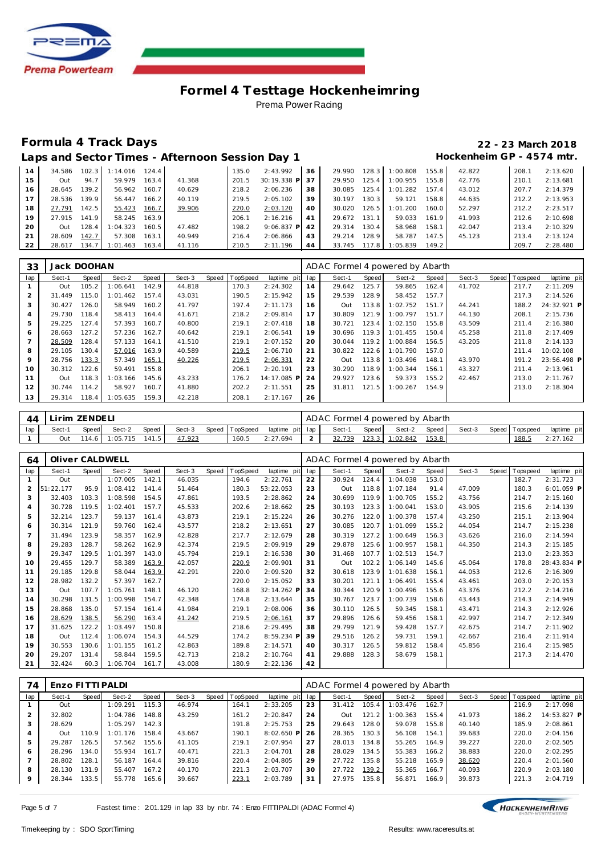

# **Formula 4 Track Days 22 - 23 March 2018**

|  |  | Laps and Sector Times - Afternoon Session Day 1 | Hockenheim GP - 4574 mtr. |
|--|--|-------------------------------------------------|---------------------------|
|--|--|-------------------------------------------------|---------------------------|

| 14 | 34.586 | 102.3  | 1:14.016 | 124.4 |        | 135.0 | 2:43.992       | -36 | 29.990 | 128.3 | : 00.808 | 155.8 | 42.822 | 208.  | 2:13.620 |
|----|--------|--------|----------|-------|--------|-------|----------------|-----|--------|-------|----------|-------|--------|-------|----------|
| 15 | Out    | 94.    | 59.979   | 163.4 | 41.368 | 201.5 | 30:19.338      | -37 | 29.950 | 125.4 | :00.955  | 155.8 | 42.776 | 210.7 | 2:13.681 |
| 16 | 28.645 | 139.2  | 56.962   | 160.7 | 40.629 | 218.2 | 2:06.236       | 38  | 30.085 | 125.4 | 1:01.282 | 157.4 | 43.012 | 207.7 | 2:14.379 |
| 17 | 28.536 | 139.91 | 56.447   | 166.2 | 40.119 | 219.5 | 2:05.102       | 39  | 30.197 | 130.3 | 59.121   | 158.8 | 44.635 | 212.2 | 2:13.953 |
| 18 | 27.791 | 142.5  | 55.423   | 166.7 | 39.906 | 220.0 | 2:03.120       | 40  | 30.020 | 126.5 | : 01.200 | 160.0 | 52.297 | 212.2 | 2:23.517 |
| 19 | 27.915 | 141.9  | 58.245   | 163.9 |        | 206.1 | 2:16.216       | 41  | 29.672 | 131.  | 59.033   | 161.9 | 41.993 | 212.6 | 2:10.698 |
| 20 | Out    | 28.4   | 1:04.323 | 160.5 | 47.482 | 198.2 | 9:06.837<br>PI | -42 | 29.314 | 130.4 | 58.968   | 158.1 | 42.047 | 213.4 | 2:10.329 |
| 21 | 28.609 | 142.7  | 57.308   | 163.1 | 40.949 | 216.4 | 2:06.866       | 43  | 29.214 | 128.9 | 58.787   | 147.5 | 45.123 | 213.4 | 2:13.124 |
| 22 | 28.617 | 134.7  | 1:01.463 | 163.4 | 41.116 | 210.5 | 2:11.196       | 44  | 33.745 | 117.8 | :05.839  | 149.2 |        | 209.7 | 2:28.480 |

| 33  | Jack DOOHAN |       |          |       |        |       |          |             |     | ADAC Formel 4 powered by Abarth |       |          |       |        |                   |             |
|-----|-------------|-------|----------|-------|--------|-------|----------|-------------|-----|---------------------------------|-------|----------|-------|--------|-------------------|-------------|
| lap | Sect-1      | Speed | Sect-2   | Speed | Sect-3 | Speed | TopSpeed | laptime pit | lap | Sect-1                          | Speed | Sect-2   | Speed | Sect-3 | Speed   Tops peed | laptime pit |
|     | Out         | 105.2 | 1:06.641 | 142.9 | 44.818 |       | 170.3    | 2:24.302    | 14  | 29.642                          | 125.7 | 59.865   | 162.4 | 41.702 | 217.7             | 2:11.209    |
|     | 31.449      | 115.0 | 1:01.462 | 157.4 | 43.031 |       | 190.5    | 2:15.942    | 15  | 29.539                          | 128.9 | 58.452   | 157.7 |        | 217.3             | 2:14.526    |
| 3   | 30.427      | 126.0 | 58.949   | 160.2 | 41.797 |       | 197.4    | 2:11.173    | 16  | Out                             | 113.8 | 1:02.752 | 151.7 | 44.241 | 188.2             | 24:32.921 P |
| 4   | 29.730      | 118.4 | 58.413   | 164.4 | 41.671 |       | 218.2    | 2:09.814    | 17  | 30.809                          | 121.9 | 1:00.797 | 151.7 | 44.130 | 208.1             | 2:15.736    |
| 5   | 29.225      | 127.4 | 57.393   | 160.7 | 40.800 |       | 219.1    | 2:07.418    | 18  | 30.721                          | 123.4 | 1:02.150 | 155.8 | 43.509 | 211.4             | 2:16.380    |
| 6   | 28.663      | 127.2 | 57.236   | 162.7 | 40.642 |       | 219.1    | 2:06.541    | 19  | 30.696                          | 119.3 | 1:01.455 | 150.4 | 45.258 | 211.8             | 2:17.409    |
|     | 28.509      | 128.4 | 57.133   | 164.1 | 41.510 |       | 219.1    | 2:07.152    | 20  | 30.044                          | 119.2 | 1:00.884 | 156.5 | 43.205 | 211.8             | 2:14.133    |
| 8   | 29.105      | 130.4 | 57.016   | 163.9 | 40.589 |       | 219.5    | 2:06.710    | 21  | 30.822                          | 122.6 | 1:01.790 | 157.0 |        | 211.4             | 10:02.108   |
| 9   | 28.756      | 133.3 | 57.349   | 165.1 | 40.226 |       | 219.5    | 2:06.331    | 22  | Out                             | 113.8 | 1:03.496 | 148.1 | 43.970 | 191.2             | 23:56.498 P |
| 10  | 30.312      | 122.6 | 59.491   | 155.8 |        |       | 206.1    | 2:20.191    | 23  | 30.290                          | 118.9 | 1:00.344 | 156.1 | 43.327 | 211.4             | 2:13.961    |
| 11  | Out         | 118.3 | 1:03.166 | 145.6 | 43.233 |       | 176.2    | 14:17.085 P | 24  | 29.927                          | 123.6 | 59.373   | 155.2 | 42.467 | 213.0             | 2:11.767    |
| 12  | 30.744      | 114.2 | 58.927   | 160.7 | 41.880 |       | 202.2    | 2:11.551    | 25  | 31.811                          | 121.5 | 1:00.267 | 154.9 |        | 213.0             | 2:18.304    |
| 13  | 29.314      | 118.4 | 1:05.635 | 159.3 | 42.218 |       | 208.1    | 2:17.167    | 26  |                                 |       |          |       |        |                   |             |

| 44  | Lirim ZENDELI |       |         |       |        |                |          |         | ADAC Formel 4 powered by Abarth |              |          |       |        |                 |                |
|-----|---------------|-------|---------|-------|--------|----------------|----------|---------|---------------------------------|--------------|----------|-------|--------|-----------------|----------------|
| lap | Sect-1        | Speed | Sect-2  | Speed | Sect-3 | Speed TopSpeed | laptime  | pit lap | Sect-                           | <b>Speed</b> | Sect-2   | Speed | Sect-3 | Speed Tops peed | pit<br>laptime |
|     | Out           | 14.6  | :05.715 | 141.5 | 47.923 | 160.5          | 2:27.694 |         | 32.739                          | 123.3        | : 02.842 | 153.8 |        | 188.            | 2:27.162       |

| 64             | Oliver CALDWELL |              |          |       |        |       |          |             |     | ADAC Formel 4 powered by Abarth |       |          |       |        |       |                 |              |
|----------------|-----------------|--------------|----------|-------|--------|-------|----------|-------------|-----|---------------------------------|-------|----------|-------|--------|-------|-----------------|--------------|
| lap            | Sect-1          | <b>Speed</b> | Sect-2   | Speed | Sect-3 | Speed | TopSpeed | laptime pit | lap | Sect-1                          | Speed | Sect-2   | Speed | Sect-3 | Speed | <b>Topspeed</b> | laptime pit  |
|                | Out             |              | 1:07.005 | 142.1 | 46.035 |       | 194.6    | 2:22.761    | 22  | 30.924                          | 124.4 | 1:04.038 | 153.0 |        |       | 182.7           | 2:31.723     |
| $\overline{2}$ | 51:22.177       | 95.9         | 1:08.412 | 141.4 | 51.464 |       | 180.3    | 53:22.053   | 23  | Out                             | 118.8 | 1:07.184 | 91.4  | 47.009 |       | 180.3           | $6:01.059$ P |
| 3              | 32.403          | 103.3        | 1:08.598 | 154.5 | 47.861 |       | 193.5    | 2:28.862    | 24  | 30.699                          | 119.9 | 1:00.705 | 155.2 | 43.756 |       | 214.7           | 2:15.160     |
| $\overline{4}$ | 30.728          | 119.5        | 1:02.401 | 157.7 | 45.533 |       | 202.6    | 2:18.662    | 25  | 30.193                          | 123.3 | 1:00.041 | 153.0 | 43.905 |       | 215.6           | 2:14.139     |
| 5              | 32.214          | 123.7        | 59.137   | 161.4 | 43.873 |       | 219.1    | 2:15.224    | 26  | 30.276                          | 122.0 | 1:00.378 | 157.4 | 43.250 |       | 215.1           | 2:13.904     |
| 6              | 30.314          | 121.9        | 59.760   | 162.4 | 43.577 |       | 218.2    | 2:13.651    | 27  | 30.085                          | 120.7 | 1:01.099 | 155.2 | 44.054 |       | 214.7           | 2:15.238     |
| $\overline{7}$ | 31.494          | 123.9        | 58.357   | 162.9 | 42.828 |       | 217.7    | 2:12.679    | 28  | 30.319                          | 127.2 | 1:00.649 | 156.3 | 43.626 |       | 216.0           | 2:14.594     |
| 8              | 29.283          | 128.7        | 58.262   | 162.9 | 42.374 |       | 219.5    | 2:09.919    | 29  | 29.878                          | 125.6 | 1:00.957 | 158.1 | 44.350 |       | 214.3           | 2:15.185     |
| 9              | 29.347          | 129.5        | 1:01.397 | 143.0 | 45.794 |       | 219.1    | 2:16.538    | 30  | 31.468                          | 107.7 | 1:02.513 | 154.7 |        |       | 213.0           | 2:23.353     |
| 10             | 29.455          | 129.7        | 58.389   | 163.9 | 42.057 |       | 220.9    | 2:09.901    | 31  | Out                             | 102.2 | 1:06.149 | 145.6 | 45.064 |       | 178.8           | 28:43.834 P  |
| 11             | 29.185          | 129.8        | 58.044   | 163.9 | 42.291 |       | 220.0    | 2:09.520    | 32  | 30.618                          | 123.9 | 1:01.638 | 156.1 | 44.053 |       | 212.6           | 2:16.309     |
| 12             | 28.982          | 132.2        | 57.397   | 162.7 |        |       | 220.0    | 2:15.052    | 33  | 30.201                          | 121.1 | 1:06.491 | 155.4 | 43.461 |       | 203.0           | 2:20.153     |
| 13             | Out             | 107.7        | 1:05.761 | 148.1 | 46.120 |       | 168.8    | 32:14.262 P | 34  | 30.344                          | 120.9 | 1:00.496 | 155.6 | 43.376 |       | 212.2           | 2:14.216     |
| 14             | 30.298          | 131.5        | 1:00.998 | 154.7 | 42.348 |       | 174.8    | 2:13.644    | 35  | 30.767                          | 123.7 | 1:00.739 | 158.6 | 43.443 |       | 214.3           | 2:14.949     |
| 15             | 28.868          | 135.0        | 57.154   | 161.4 | 41.984 |       | 219.1    | 2:08.006    | 36  | 30.110                          | 126.5 | 59.345   | 158.1 | 43.471 |       | 214.3           | 2:12.926     |
| 16             | 28.629          | 138.5        | 56.290   | 163.4 | 41.242 |       | 219.5    | 2:06.161    | 37  | 29.896                          | 126.6 | 59.456   | 158.1 | 42.997 |       | 214.7           | 2:12.349     |
| 17             | 31.625          | 122.2        | 1:03.497 | 150.8 |        |       | 218.6    | 2:29.495    | 38  | 29.799                          | 121.9 | 59.428   | 157.7 | 42.675 |       | 214.7           | 2:11.902     |
| 18             | Out             | 112.4        | 1:06.074 | 154.3 | 44.529 |       | 174.2    | 8:59.234 P  | 39  | 29.516                          | 126.2 | 59.731   | 159.1 | 42.667 |       | 216.4           | 2:11.914     |
| 19             | 30.553          | 130.6        | 1:01.155 | 161.2 | 42.863 |       | 189.8    | 2:14.571    | 40  | 30.317                          | 126.5 | 59.812   | 158.4 | 45.856 |       | 216.4           | 2:15.985     |
| 20             | 29.207          | 131.4        | 58.844   | 159.5 | 42.713 |       | 218.2    | 2:10.764    | 41  | 29.888                          | 128.3 | 58.679   | 158.1 |        |       | 217.3           | 2:14.470     |
| 21             | 32.424          | 60.3         | 1:06.704 | 161.7 | 43.008 |       | 180.9    | 2:22.136    | 42  |                                 |       |          |       |        |       |                 |              |

| 74             | Enzo FITTI PALDI |       |          |       |        |                |             |     | ADAC Formel 4 powered by Abarth |         |          |       |        |                 |             |
|----------------|------------------|-------|----------|-------|--------|----------------|-------------|-----|---------------------------------|---------|----------|-------|--------|-----------------|-------------|
| lap            | Sect-1           | Speed | Sect-2   | Speed | Sect-3 | Speed TopSpeed | laptime pit | lap | Sect-1                          | Speed I | Sect-2   | Speed | Sect-3 | Speed Tops peed | laptime pit |
|                | Out              |       | 1:09.291 | 115.3 | 46.974 | 164.1          | 2:33.205    | 23  | 31.412                          | 105.4   | 1:03.476 | 162.7 |        | 216.9           | 2:17.098    |
|                | 32.802           |       | 1:04.786 | 148.8 | 43.259 | 161.2          | 2:20.847    | 24  | Out                             | 121.2   | 1:00.363 | 155.4 | 41.973 | 186.2           | 14:53.827 P |
| 3              | 28.629           |       | 1:05.297 | 142.3 |        | 191.8          | 2:25.753    | 25  | 29.643                          | 128.0   | 59.078   | 155.8 | 40.140 | 185.9           | 2:08.861    |
| $\overline{4}$ | <b>Out</b>       | 110.9 | 1:01.176 | 158.4 | 43.667 | 190.1          | 8:02.650 P  | 26  | 28.365                          | 130.3   | 56.108   | 154.1 | 39.683 | 220.0           | 2:04.156    |
| 5              | 29.287           | 126.5 | 57.562   | 155.6 | 41.105 | 219.1          | 2:07.954    | 27  | 28.013                          | 134.8   | 55.265   | 164.9 | 39.227 | 220.0           | 2:02.505    |
| 6              | 28.296           | 134.0 | 55.934   | 161.7 | 40.471 | 221.3          | 2:04.701    | 28  | 28.029                          | 134.5   | 55.383   | 166.2 | 38.883 | 220.0           | 2:02.295    |
|                | 28.802           | 128.1 | 56.187   | 164.4 | 39.816 | 220.4          | 2:04.805    | 29  | 27.722                          | 135.8   | 55.218   | 165.9 | 38.620 | 220.4           | 2:01.560    |
| 8              | 28.130           | 131.9 | 55.407   | 167.2 | 40.170 | 221.3          | 2:03.707    | 30  | 27.722                          | 139.2   | 55.365   | 166.7 | 40.093 | 220.9           | 2:03.180    |
| $\circ$        | 28.344           | 133.5 | 55.778   | 165.6 | 39.667 | 223.1          | 2:03.789    | 31  | 27.975                          | 135.8   | 56.871   | 166.9 | 39.873 | 221.3           | 2:04.719    |

HOCKENHEIMRING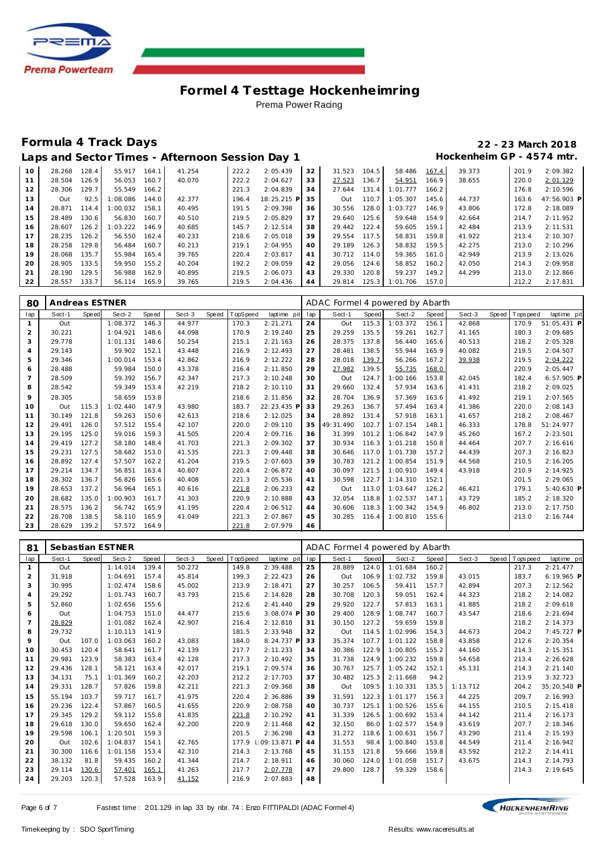

## **Formula 4 Track Days 22 - 23 March 2018**

|  |  | Laps and Sector Times - Afternoon Session Day 1 |  |  |
|--|--|-------------------------------------------------|--|--|

|                           | 22 - 23 March 2018 |  |
|---------------------------|--------------------|--|
| Hockenheim GP - 4574 mtr. |                    |  |

| 10 | 28.268 | 128.4 | 55.917   | 164.1 | 41.254 | 222.2 | 2:05.439    | 32 | 31.523 | 104.5 | 58.486   | 167.4 | 39.373 | 201.9 | 2:09.382    |
|----|--------|-------|----------|-------|--------|-------|-------------|----|--------|-------|----------|-------|--------|-------|-------------|
| 11 | 28.504 | 26.9  | 56.053   | 160.7 | 40.070 | 222.2 | 2:04.627    | 33 | 27.523 | 136.7 | 54.951   | 166.9 | 38.655 | 220.0 | 2:01.129    |
| 12 | 28.306 | 29.7  | 55.549   | 166.2 |        | 221.3 | 2:04.839    | 34 | 27.644 | 131.4 | 1:01.777 | 166.2 |        | 176.8 | 2:10.596    |
| 13 | Out    | 92.5  | 1:08.086 | 144.0 | 42.377 | 196.4 | 18:25.215 P | 35 | Out    | 110.7 | 1:05.307 | 145.6 | 44.737 | 163.6 | 47:56.903 P |
| 14 | 28.871 | 114.4 | 1:00.032 | 158.1 | 40.495 | 191.5 | 2:09.398    | 36 | 30.556 | 128.0 | 1:03.727 | 146.9 | 43.806 | 172.8 | 2:18.089    |
| 15 | 28.489 | 130.6 | 56.830   | 160.7 | 40.510 | 219.5 | 2:05.829    | 37 | 29.640 | 125.6 | 59.648   | 154.9 | 42.664 | 214.7 | 2:11.952    |
| 16 | 28.607 | 26.2  | 1:03.222 | 146.9 | 40.685 | 145.7 | 2:12.514    | 38 | 29.442 | 122.4 | 59.605   | 159.1 | 42.484 | 213.9 | 2:11.531    |
| 17 | 28.235 | 126.2 | 56.550   | 162.4 | 40.233 | 218.6 | 2:05.018    | 39 | 29.554 | 117.5 | 58.831   | 159.8 | 41.922 | 213.4 | 2:10.307    |
| 18 | 28.258 | 129.8 | 56.484   | 160.7 | 40.213 | 219.1 | 2:04.955    | 40 | 29.189 | 126.3 | 58.832   | 159.5 | 42.275 | 213.0 | 2:10.296    |
| 19 | 28.068 | 135.7 | 55.984   | 165.4 | 39.765 | 220.4 | 2:03.817    | 41 | 30.712 | 114.0 | 59.365   | 161.0 | 42.949 | 213.9 | 2:13.026    |
| 20 | 28.905 | 133.5 | 59.950   | 155.2 | 40.204 | 192.2 | 2:09.059    | 42 | 29.056 | 124.6 | 58.852   | 160.2 | 42.050 | 214.3 | 2:09.958    |
| 21 | 28.190 | 129.5 | 56.988   | 162.9 | 40.895 | 219.5 | 2:06.073    | 43 | 29.330 | 120.8 | 59.237   | 149.2 | 44.299 | 213.0 | 2:12.866    |
| 22 | 28.557 | 133.7 | 56.114   | 165.9 | 39.765 | 219.5 | 2:04.436    | 44 | 29.814 | 125.3 | 1:01.706 | 157.0 |        | 212.2 | 2:17.831    |

| 80             | Andreas ESTNER |       |          |       |        |       |          |             | ADAC Formel 4 powered by Abarth |           |       |          |       |        |  |                   |             |  |
|----------------|----------------|-------|----------|-------|--------|-------|----------|-------------|---------------------------------|-----------|-------|----------|-------|--------|--|-------------------|-------------|--|
| lap            | Sect-1         | Speed | Sect-2   | Speed | Sect-3 | Speed | TopSpeed | laptime pit | lap                             | Sect-1    | Speed | Sect-2   | Speed | Sect-3 |  | Speed   Tops peed | laptime pit |  |
| 1              | Out            |       | 1:08.372 | 146.3 | 44.977 |       | 170.3    | 2:21.271    | 24                              | Out       | 115.3 | 1:03.372 | 156.1 | 42.868 |  | 170.9             | 51:05.431 P |  |
| 2              | 30.221         |       | 1:04.921 | 148.6 | 44.098 |       | 170.9    | 2:19.240    | 25                              | 29.259    | 135.5 | 59.261   | 162.7 | 41.165 |  | 180.3             | 2:09.685    |  |
| 3              | 29.778         |       | 1:01.131 | 148.6 | 50.254 |       | 215.1    | 2:21.163    | 26                              | 28.375    | 137.8 | 56.440   | 165.6 | 40.513 |  | 218.2             | 2:05.328    |  |
| $\overline{4}$ | 29.143         |       | 59.902   | 152.1 | 43.448 |       | 216.9    | 2:12.493    | 27                              | 28.481    | 138.5 | 55.944   | 165.9 | 40.082 |  | 219.5             | 2:04.507    |  |
| 5              | 29.346         |       | 1:00.014 | 153.4 | 42.862 |       | 216.9    | 2:12.222    | 28                              | 28.018    | 139.7 | 56.266   | 167.2 | 39.938 |  | 219.5             | 2:04.222    |  |
| 6              | 28.488         |       | 59.984   | 150.0 | 43.378 |       | 216.4    | 2:11.850    | 29                              | 27.982    | 139.5 | 55.735   | 168.0 |        |  | 220.9             | 2:05.447    |  |
| $\overline{7}$ | 28.509         |       | 59.392   | 156.7 | 42.347 |       | 217.3    | 2:10.248    | 30                              | Out       | 124.7 | 1:00.166 | 153.8 | 42.045 |  | 182.4             | 6:57.905 P  |  |
| 8              | 28.542         |       | 59.349   | 153.4 | 42.219 |       | 218.2    | 2:10.110    | 31                              | 29.660    | 132.4 | 57.934   | 163.6 | 41.431 |  | 218.2             | 2:09.025    |  |
| 9              | 28.305         |       | 58.659   | 153.8 |        |       | 218.6    | 2:11.856    | 32                              | 28.704    | 136.9 | 57.369   | 163.6 | 41.492 |  | 219.1             | 2:07.565    |  |
| 10             | Out            | 115.3 | 1:02.440 | 147.9 | 43.980 |       | 183.7    | 22:23.435 F | 33                              | 29.263    | 136.7 | 57.494   | 163.4 | 41.386 |  | 220.0             | 2:08.143    |  |
| 11             | 30.149         | 121.8 | 59.263   | 150.6 | 42.613 |       | 218.6    | 2:12.025    | 34                              | 28.892    | 131.4 | 57.918   | 163.1 | 41.657 |  | 218.2             | 2:08.467    |  |
| 12             | 29.491         | 126.0 | 57.512   | 155.4 | 42.107 |       | 220.0    | 2:09.110    | 35                              | 49:31.490 | 102.7 | 1:07.154 | 148.1 | 46.333 |  | 178.8             | 51:24.977   |  |
| 13             | 29.195         | 125.0 | 59.016   | 159.3 | 41.505 |       | 220.4    | 2:09.716    | 36                              | 31.399    | 101.2 | 1:06.842 | 147.9 | 45.260 |  | 167.2             | 2:23.501    |  |
| 14             | 29.419         | 127.2 | 58.180   | 148.4 | 41.703 |       | 221.3    | 2:09.302    | 37                              | 30.934    | 116.3 | 1:01.218 | 150.8 | 44.464 |  | 207.7             | 2:16.616    |  |
| 15             | 29.231         | 127.5 | 58.682   | 153.0 | 41.535 |       | 221.3    | 2:09.448    | 38                              | 30.646    | 117.0 | 1:01.738 | 157.2 | 44.439 |  | 207.3             | 2:16.823    |  |
| 16             | 28.892         | 127.4 | 57.507   | 162.2 | 41.204 |       | 219.5    | 2:07.603    | 39                              | 30.783    | 121.2 | 1:00.854 | 151.9 | 44.568 |  | 210.5             | 2:16.205    |  |
| 17             | 29.214         | 134.7 | 56.851   | 163.4 | 40.807 |       | 220.4    | 2:06.872    | 40                              | 30.097    | 121.5 | 1:00.910 | 149.4 | 43.918 |  | 210.9             | 2:14.925    |  |
| 18             | 28.302         | 136.7 | 56.826   | 165.6 | 40.408 |       | 221.3    | 2:05.536    | 41                              | 30.598    | 122.7 | 1:14.310 | 152.1 |        |  | 201.5             | 2:29.065    |  |
| 19             | 28.653         | 137.2 | 56.964   | 165.1 | 40.616 |       | 221.8    | 2:06.233    | 42                              | Out       | 113.0 | 1:03.647 | 126.2 | 46.421 |  | 179.1             | 5:40.630 P  |  |
| 20             | 28.682         | 135.0 | 1:00.903 | 161.7 | 41.303 |       | 220.9    | 2:10.888    | 43                              | 32.054    | 118.8 | 1:02.537 | 147.1 | 43.729 |  | 185.2             | 2:18.320    |  |
| 21             | 28.575         | 136.2 | 56.742   | 165.9 | 41.195 |       | 220.4    | 2:06.512    | 44                              | 30.606    | 118.3 | 1:00.342 | 154.9 | 46.802 |  | 213.0             | 2:17.750    |  |
| 22             | 28.708         | 138.5 | 58.110   | 165.9 | 41.049 |       | 221.3    | 2:07.867    | 45                              | 30.285    | 116.4 | 1:00.810 | 155.6 |        |  | 213.0             | 2:16.744    |  |
| 23             | 28.629         | 139.2 | 57.572   | 164.9 |        |       | 221.8    | 2:07.979    | 46                              |           |       |          |       |        |  |                   |             |  |

| 81             | Sebastian ESTNER |       |          |       |        |       |          |                 |     | ADAC Formel 4 powered by Abarth |       |          |       |          |       |            |             |  |  |
|----------------|------------------|-------|----------|-------|--------|-------|----------|-----------------|-----|---------------------------------|-------|----------|-------|----------|-------|------------|-------------|--|--|
| lap            | Sect-1           | Speed | Sect-2   | Speed | Sect-3 | Speed | TopSpeed | laptime pit     | lap | Sect-1                          | Speed | Sect-2   | Speed | Sect-3   | Speed | T ops peed | laptime pit |  |  |
|                | Out              |       | 1:14.014 | 139.4 | 50.272 |       | 149.8    | 2:39.488        | 25  | 28.889                          | 124.0 | 1:01.684 | 160.2 |          |       | 217.3      | 2:21.477    |  |  |
| 2              | 31.918           |       | 1:04.691 | 157.4 | 45.814 |       | 199.3    | 2:22.423        | 26  | Out                             | 106.9 | 1:02.732 | 159.8 | 43.015   |       | 183.7      | 6:19.965 P  |  |  |
| 3              | 30.995           |       | 1:02.474 | 158.6 | 45.002 |       | 213.9    | 2:18.471        | 27  | 30.257                          | 106.5 | 59.411   | 157.7 | 42.894   |       | 207.3      | 2:12.562    |  |  |
| $\overline{4}$ | 29.292           |       | 1:01.743 | 160.7 | 43.793 |       | 215.6    | 2:14.828        | 28  | 30.708                          | 120.3 | 59.051   | 162.4 | 44.323   |       | 218.2      | 2:14.082    |  |  |
| 5              | 52.860           |       | 1:02.656 | 155.6 |        |       | 212.6    | 2:41.440        | 29  | 29.920                          | 122.7 | 57.813   | 163.1 | 41.885   |       | 218.2      | 2:09.618    |  |  |
| 6              | Out              |       | 1:04.753 | 151.0 | 44.477 |       | 215.6    | 3:08.074 P      | 30  | 29.400                          | 128.9 | 1:08.747 | 160.7 | 43.547   |       | 218.6      | 2:21.694    |  |  |
| $\overline{7}$ | 28.829           |       | 1:01.082 | 162.4 | 42.907 |       | 216.4    | 2:12.818        | 31  | 30.150                          | 127.2 | 59.659   | 159.8 |          |       | 218.2      | 2:14.373    |  |  |
| 8              | 29.732           |       | 1:10.113 | 141.9 |        |       | 181.5    | 2:33.948        | 32  | Out                             | 114.5 | 1:02.996 | 154.3 | 44.673   |       | 204.2      | 7:45.727 P  |  |  |
| 9              | Out              | 107.0 | 1:03.063 | 160.2 | 43.083 |       | 184.0    | 8:24.737 P      | 33  | 35.374                          | 107.7 | 1:01.122 | 158.8 | 43.858   |       | 212.6      | 2:20.354    |  |  |
| 10             | 30.453           | 120.4 | 58.641   | 161.7 | 42.139 |       | 217.7    | 2:11.233        | 34  | 30.386                          | 122.9 | 1:00.805 | 155.2 | 44.160   |       | 214.3      | 2:15.351    |  |  |
| 11             | 29.981           | 123.9 | 58.383   | 163.4 | 42.128 |       | 217.3    | 2:10.492        | 35  | 31.738                          | 124.9 | 1:00.232 | 159.8 | 54.658   |       | 213.4      | 2:26.628    |  |  |
| 12             | 29.436           | 128.1 | 58.121   | 163.4 | 42.017 |       | 219.1    | 2:09.574        | 36  | 30.767                          | 125.7 | 1:05.242 | 152.1 | 45.131   |       | 214.3      | 2:21.140    |  |  |
| 13             | 34.131           | 75.1  | 1:01.369 | 160.2 | 42.203 |       | 212.2    | 2:17.703        | 37  | 30.482                          | 125.3 | 2:11.668 | 94.2  |          |       | 213.9      | 3:32.723    |  |  |
| 14             | 29.331           | 128.7 | 57.826   | 159.8 | 42.211 |       | 221.3    | 2:09.368        | 38  | Out                             | 109.5 | 1:10.331 | 135.5 | 1:13.712 |       | 204.2      | 35:20.548 P |  |  |
| 15             | 55.194           | 103.7 | 59.717   | 161.7 | 41.975 |       | 220.4    | 2:36.886        | 39  | 31.591                          | 122.3 | 1:01.177 | 156.3 | 44.225   |       | 209.7      | 2:16.993    |  |  |
| 16             | 29.236           | 122.4 | 57.867   | 160.5 | 41.655 |       | 220.9    | 2:08.758        | 40  | 30.737                          | 125.1 | 1:00.526 | 155.6 | 44.155   |       | 210.5      | 2:15.418    |  |  |
| 17             | 29.345           | 129.2 | 59.112   | 155.8 | 41.835 |       | 221.8    | 2:10.292        | 41  | 31.339                          | 126.5 | 1:00.692 | 153.4 | 44.142   |       | 211.4      | 2:16.173    |  |  |
| 18             | 29.618           | 130.0 | 59.650   | 162.4 | 42.200 |       | 220.9    | 2:11.468        | 42  | 32.150                          | 86.0  | 1:02.577 | 154.9 | 43.619   |       | 207.7      | 2:18.346    |  |  |
| 19             | 29.598           | 106.1 | 1:20.501 | 159.3 |        |       | 201.5    | 2:36.298        | 43  | 31.272                          | 118.6 | 1:00.631 | 156.7 | 43.290   |       | 211.4      | 2:15.193    |  |  |
| 20             | Out              | 102.6 | 1:04.837 | 154.1 | 42.765 |       | 177.9    | $1:09:13.871$ P | 44  | 31.553                          | 98.4  | 1:00.840 | 153.8 | 44.549   |       | 211.4      | 2:16.942    |  |  |
| 21             | 30.300           | 116.6 | 1:01.158 | 153.4 | 42.310 |       | 214.3    | 2:13.768        | 45  | 31.153                          | 121.8 | 59.666   | 159.8 | 43.592   |       | 212.2      | 2:14.411    |  |  |
| 22             | 38.132           | 81.8  | 59.435   | 160.2 | 41.344 |       | 214.7    | 2:18.911        | 46  | 30.060                          | 124.0 | 1:01.058 | 151.7 | 43.675   |       | 214.3      | 2:14.793    |  |  |
| 23             | 29.114           | 130.6 | 57.401   | 165.1 | 41.263 |       | 217.7    | 2:07.778        | 47  | 29.800                          | 128.7 | 59.329   | 158.6 |          |       | 214.3      | 2:19.645    |  |  |
| 24             | 29.203           | 120.3 | 57.528   | 163.9 | 41.152 |       | 216.9    | 2:07.883        | 48  |                                 |       |          |       |          |       |            |             |  |  |